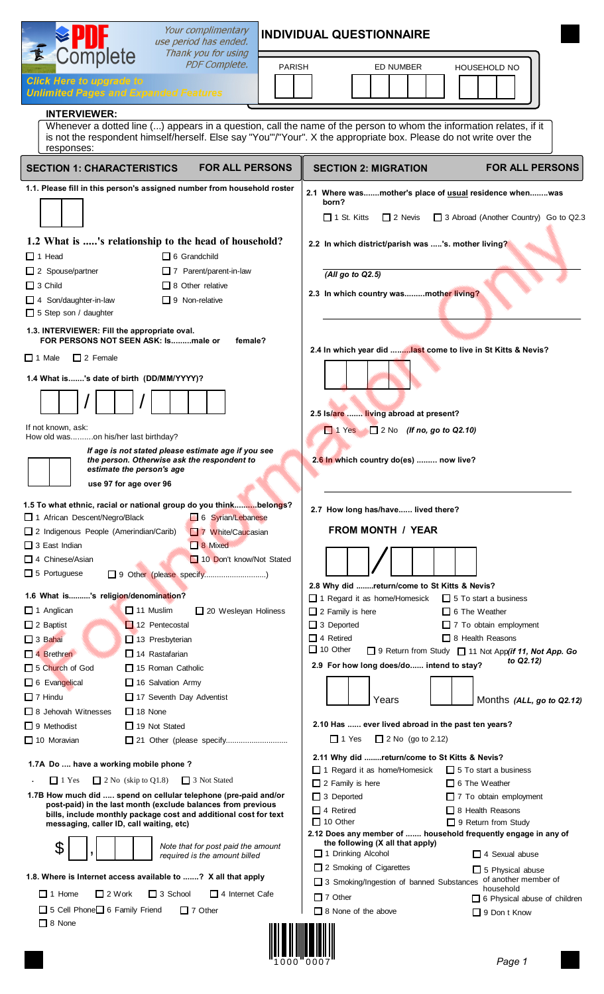| <b>PDF Complete.</b><br><b>PARISH</b><br><b>ED NUMBER</b><br>HOUSEHOLD NO<br><b>Click Here to upgrade to</b><br><b>Unlimited Pages and Expanded Features</b><br><b>INTERVIEWER:</b><br>Whenever a dotted line () appears in a question, call the name of the person to whom the information relates, if it<br>is not the respondent himself/herself. Else say "You"/"Your". X the appropriate box. Please do not write over the<br>responses:<br><b>FOR ALL PERSONS</b><br><b>FOR ALL PERSONS</b><br><b>SECTION 1: CHARACTERISTICS</b><br><b>SECTION 2: MIGRATION</b><br>1.1. Please fill in this person's assigned number from household roster<br>2.1 Where wasmother's place of usual residence whenwas<br>born?<br>$\Box$ 1 St. Kitts<br>$\Box$ 2 Nevis<br>1.2 What is 's relationship to the head of household?<br>2.2 In which district/parish was 's. mother living?<br>$\Box$ 1 Head<br>$\Box$ 6 Grandchild<br>$\Box$ 2 Spouse/partner<br>7 Parent/parent-in-law<br>$(AII)$ go to Q2.5)<br>$\Box$ 3 Child<br>$\Box$ 8 Other relative<br>2.3 In which country wasmother living?<br>$\Box$ 9 Non-relative<br>$\Box$ 4 Son/daughter-in-law<br>$\Box$ 5 Step son / daughter<br>1.3. INTERVIEWER: Fill the appropriate oval.<br>FOR PERSONS NOT SEEN ASK: Ismale or<br>female?<br>2.4 In which year did last come to live in St Kitts & Nevis?<br>$\Box$ 1 Male<br>$\Box$ 2 Female<br>1.4 What is's date of birth (DD/MM/YYYY)?<br>2.5 Is/are  living abroad at present?<br>If not known, ask:<br>$\Box$ 2 No (If no, go to Q2.10)<br>$\Box$ 1 Yes<br>How old wason his/her last birthday?<br>If age is not stated please estimate age if you see<br>2.6 In which country do(es)  now live?<br>the person. Otherwise ask the respondent to<br>estimate the person's age<br>use 97 for age over 96<br>1.5 To what ethnic, racial or national group do you thinkbelongs?<br>2.7 How long has/have lived there?<br>1 African Descent/Negro/Black<br>6 Syrian/Lebanese<br><b>FROM MONTH / YEAR</b><br>2 Indigenous People (Amerindian/Carib)<br>7 White/Caucasian<br>$\Box$ 3 East Indian<br><b>1</b> 8 Mixed<br>10 Don't know/Not Stated<br>$\Box$ 4 Chinese/Asian<br>$\Box$ 5 Portuguese<br>9 Other (please specify)<br>2.8 Why did return/come to St Kitts & Nevis?<br>1.6 What is's religion/denomination?<br>$\Box$ 1 Regard it as home/Homesick<br>$\Box$ 5 To start a business<br>$\Box$ 11 Muslim<br>$\Box$ 1 Anglican<br>20 Wesleyan Holiness<br>$\Box$ 6 The Weather<br>$\Box$ 2 Family is here<br>$\Box$ 3 Deported<br>$\Box$ 2 Baptist<br>12 Pentecostal<br>$\Box$ 7 To obtain employment<br>$\Box$ 4 Retired<br>$\Box$ 8 Health Reasons<br>$\Box$ 3 Bahai<br>$\Box$ 13 Presbyterian<br>$\Box$ 10 Other<br>□ 9 Return from Study □ 11 Not App(if 11, Not App. Go<br>$\Box$ 14 Rastafarian<br>$\Box$ 4 Brethren<br>to Q2.12)<br>2.9 For how long does/do intend to stay?<br>5 Church of God<br>$\Box$ 15 Roman Catholic<br>6 Evangelical<br>16 Salvation Army<br>$\Box$ 7 Hindu<br>17 Seventh Day Adventist<br>Years<br>Months (ALL, go to Q2.12)<br>$\Box$ 18 None<br>$\Box$ 8 Jehovah Witnesses<br>2.10 Has  ever lived abroad in the past ten years?<br>$\Box$ 9 Methodist<br>$\Box$ 19 Not Stated<br>$\Box$ 1 Yes<br>$\Box$ 2 No (go to 2.12)<br>$\Box$ 10 Moravian<br>2.11 Why did return/come to St Kitts & Nevis?<br>1.7A Do  have a working mobile phone?<br>1 Regard it as home/Homesick<br>$\Box$ 5 To start a business<br>$\Box$ 2 No (skip to Q1.8)<br>$\Box$ 3 Not Stated<br>$\Box$ 1 Yes<br>$\Box$ 2 Family is here<br>$\Box$ 6 The Weather<br>1.7B How much did  spend on cellular telephone (pre-paid and/or<br>$\Box$ 3 Deported<br>$\Box$ 7 To obtain employment<br>post-paid) in the last month (exclude balances from previous<br>$\Box$ 4 Retired<br>$\Box$ 8 Health Reasons<br>bills, include monthly package cost and additional cost for text<br>$\Box$ 10 Other<br>$\Box$ 9 Return from Study<br>messaging, caller ID, call waiting, etc)<br>2.12 Does any member of  household frequently engage in any of<br>the following (X all that apply)<br>\$<br>Note that for post paid the amount<br>1 Drinking Alcohol<br>$\Box$ 4 Sexual abuse<br>required is the amount billed<br>$\Box$ 2 Smoking of Cigarettes<br>$\Box$ 5 Physical abuse<br>1.8. Where is Internet access available to ? X all that apply<br>of another member of<br>$\Box$ 3 Smoking/Ingestion of banned Substances<br>household<br>$\Box$ 1 Home<br>□ 2 Work □ 3 School □ 4 Internet Cafe<br>$\Box$ 7 Other<br>6 Physical abuse of children<br>5 Cell Phone 6 Family Friend<br>$\Box$ 7 Other<br>$\Box$ 8 None of the above<br>$\Box$ 9 Don t Know<br>$\Box$ 8 None | Your complimentary<br>$\mathbf{E}$ Complete<br>use period has ended. | <b>INDIVIDUAL QUESTIONNAIRE</b>       |
|--------------------------------------------------------------------------------------------------------------------------------------------------------------------------------------------------------------------------------------------------------------------------------------------------------------------------------------------------------------------------------------------------------------------------------------------------------------------------------------------------------------------------------------------------------------------------------------------------------------------------------------------------------------------------------------------------------------------------------------------------------------------------------------------------------------------------------------------------------------------------------------------------------------------------------------------------------------------------------------------------------------------------------------------------------------------------------------------------------------------------------------------------------------------------------------------------------------------------------------------------------------------------------------------------------------------------------------------------------------------------------------------------------------------------------------------------------------------------------------------------------------------------------------------------------------------------------------------------------------------------------------------------------------------------------------------------------------------------------------------------------------------------------------------------------------------------------------------------------------------------------------------------------------------------------------------------------------------------------------------------------------------------------------------------------------------------------------------------------------------------------------------------------------------------------------------------------------------------------------------------------------------------------------------------------------------------------------------------------------------------------------------------------------------------------------------------------------------------------------------------------------------------------------------------------------------------------------------------------------------------------------------------------------------------------------------------------------------------------------------------------------------------------------------------------------------------------------------------------------------------------------------------------------------------------------------------------------------------------------------------------------------------------------------------------------------------------------------------------------------------------------------------------------------------------------------------------------------------------------------------------------------------------------------------------------------------------------------------------------------------------------------------------------------------------------------------------------------------------------------------------------------------------------------------------------------------------------------------------------------------------------------------------------------------------------------------------------------------------------------------------------------------------------------------------------------------------------------------------------------------------------------------------------------------------------------------------------------------------------------------------------------------------------------------------------------------------------------------------------------------------------------------------------------------------------------------------------------------------------------------------------------------------------------------------------------------------------------------------------------------------------------------------------------------------------------------------------------------------------------------------------------------------------------------------------------------------------------------------------------------------------------------------------------------|----------------------------------------------------------------------|---------------------------------------|
|                                                                                                                                                                                                                                                                                                                                                                                                                                                                                                                                                                                                                                                                                                                                                                                                                                                                                                                                                                                                                                                                                                                                                                                                                                                                                                                                                                                                                                                                                                                                                                                                                                                                                                                                                                                                                                                                                                                                                                                                                                                                                                                                                                                                                                                                                                                                                                                                                                                                                                                                                                                                                                                                                                                                                                                                                                                                                                                                                                                                                                                                                                                                                                                                                                                                                                                                                                                                                                                                                                                                                                                                                                                                                                                                                                                                                                                                                                                                                                                                                                                                                                                                                                                                                                                                                                                                                                                                                                                                                                                                                                                                                                                                          | Thank you for using                                                  |                                       |
|                                                                                                                                                                                                                                                                                                                                                                                                                                                                                                                                                                                                                                                                                                                                                                                                                                                                                                                                                                                                                                                                                                                                                                                                                                                                                                                                                                                                                                                                                                                                                                                                                                                                                                                                                                                                                                                                                                                                                                                                                                                                                                                                                                                                                                                                                                                                                                                                                                                                                                                                                                                                                                                                                                                                                                                                                                                                                                                                                                                                                                                                                                                                                                                                                                                                                                                                                                                                                                                                                                                                                                                                                                                                                                                                                                                                                                                                                                                                                                                                                                                                                                                                                                                                                                                                                                                                                                                                                                                                                                                                                                                                                                                                          |                                                                      |                                       |
|                                                                                                                                                                                                                                                                                                                                                                                                                                                                                                                                                                                                                                                                                                                                                                                                                                                                                                                                                                                                                                                                                                                                                                                                                                                                                                                                                                                                                                                                                                                                                                                                                                                                                                                                                                                                                                                                                                                                                                                                                                                                                                                                                                                                                                                                                                                                                                                                                                                                                                                                                                                                                                                                                                                                                                                                                                                                                                                                                                                                                                                                                                                                                                                                                                                                                                                                                                                                                                                                                                                                                                                                                                                                                                                                                                                                                                                                                                                                                                                                                                                                                                                                                                                                                                                                                                                                                                                                                                                                                                                                                                                                                                                                          |                                                                      |                                       |
|                                                                                                                                                                                                                                                                                                                                                                                                                                                                                                                                                                                                                                                                                                                                                                                                                                                                                                                                                                                                                                                                                                                                                                                                                                                                                                                                                                                                                                                                                                                                                                                                                                                                                                                                                                                                                                                                                                                                                                                                                                                                                                                                                                                                                                                                                                                                                                                                                                                                                                                                                                                                                                                                                                                                                                                                                                                                                                                                                                                                                                                                                                                                                                                                                                                                                                                                                                                                                                                                                                                                                                                                                                                                                                                                                                                                                                                                                                                                                                                                                                                                                                                                                                                                                                                                                                                                                                                                                                                                                                                                                                                                                                                                          |                                                                      |                                       |
|                                                                                                                                                                                                                                                                                                                                                                                                                                                                                                                                                                                                                                                                                                                                                                                                                                                                                                                                                                                                                                                                                                                                                                                                                                                                                                                                                                                                                                                                                                                                                                                                                                                                                                                                                                                                                                                                                                                                                                                                                                                                                                                                                                                                                                                                                                                                                                                                                                                                                                                                                                                                                                                                                                                                                                                                                                                                                                                                                                                                                                                                                                                                                                                                                                                                                                                                                                                                                                                                                                                                                                                                                                                                                                                                                                                                                                                                                                                                                                                                                                                                                                                                                                                                                                                                                                                                                                                                                                                                                                                                                                                                                                                                          |                                                                      |                                       |
|                                                                                                                                                                                                                                                                                                                                                                                                                                                                                                                                                                                                                                                                                                                                                                                                                                                                                                                                                                                                                                                                                                                                                                                                                                                                                                                                                                                                                                                                                                                                                                                                                                                                                                                                                                                                                                                                                                                                                                                                                                                                                                                                                                                                                                                                                                                                                                                                                                                                                                                                                                                                                                                                                                                                                                                                                                                                                                                                                                                                                                                                                                                                                                                                                                                                                                                                                                                                                                                                                                                                                                                                                                                                                                                                                                                                                                                                                                                                                                                                                                                                                                                                                                                                                                                                                                                                                                                                                                                                                                                                                                                                                                                                          |                                                                      | 3 Abroad (Another Country) Go to Q2.3 |
|                                                                                                                                                                                                                                                                                                                                                                                                                                                                                                                                                                                                                                                                                                                                                                                                                                                                                                                                                                                                                                                                                                                                                                                                                                                                                                                                                                                                                                                                                                                                                                                                                                                                                                                                                                                                                                                                                                                                                                                                                                                                                                                                                                                                                                                                                                                                                                                                                                                                                                                                                                                                                                                                                                                                                                                                                                                                                                                                                                                                                                                                                                                                                                                                                                                                                                                                                                                                                                                                                                                                                                                                                                                                                                                                                                                                                                                                                                                                                                                                                                                                                                                                                                                                                                                                                                                                                                                                                                                                                                                                                                                                                                                                          |                                                                      |                                       |
|                                                                                                                                                                                                                                                                                                                                                                                                                                                                                                                                                                                                                                                                                                                                                                                                                                                                                                                                                                                                                                                                                                                                                                                                                                                                                                                                                                                                                                                                                                                                                                                                                                                                                                                                                                                                                                                                                                                                                                                                                                                                                                                                                                                                                                                                                                                                                                                                                                                                                                                                                                                                                                                                                                                                                                                                                                                                                                                                                                                                                                                                                                                                                                                                                                                                                                                                                                                                                                                                                                                                                                                                                                                                                                                                                                                                                                                                                                                                                                                                                                                                                                                                                                                                                                                                                                                                                                                                                                                                                                                                                                                                                                                                          |                                                                      |                                       |
|                                                                                                                                                                                                                                                                                                                                                                                                                                                                                                                                                                                                                                                                                                                                                                                                                                                                                                                                                                                                                                                                                                                                                                                                                                                                                                                                                                                                                                                                                                                                                                                                                                                                                                                                                                                                                                                                                                                                                                                                                                                                                                                                                                                                                                                                                                                                                                                                                                                                                                                                                                                                                                                                                                                                                                                                                                                                                                                                                                                                                                                                                                                                                                                                                                                                                                                                                                                                                                                                                                                                                                                                                                                                                                                                                                                                                                                                                                                                                                                                                                                                                                                                                                                                                                                                                                                                                                                                                                                                                                                                                                                                                                                                          |                                                                      |                                       |
|                                                                                                                                                                                                                                                                                                                                                                                                                                                                                                                                                                                                                                                                                                                                                                                                                                                                                                                                                                                                                                                                                                                                                                                                                                                                                                                                                                                                                                                                                                                                                                                                                                                                                                                                                                                                                                                                                                                                                                                                                                                                                                                                                                                                                                                                                                                                                                                                                                                                                                                                                                                                                                                                                                                                                                                                                                                                                                                                                                                                                                                                                                                                                                                                                                                                                                                                                                                                                                                                                                                                                                                                                                                                                                                                                                                                                                                                                                                                                                                                                                                                                                                                                                                                                                                                                                                                                                                                                                                                                                                                                                                                                                                                          |                                                                      |                                       |
|                                                                                                                                                                                                                                                                                                                                                                                                                                                                                                                                                                                                                                                                                                                                                                                                                                                                                                                                                                                                                                                                                                                                                                                                                                                                                                                                                                                                                                                                                                                                                                                                                                                                                                                                                                                                                                                                                                                                                                                                                                                                                                                                                                                                                                                                                                                                                                                                                                                                                                                                                                                                                                                                                                                                                                                                                                                                                                                                                                                                                                                                                                                                                                                                                                                                                                                                                                                                                                                                                                                                                                                                                                                                                                                                                                                                                                                                                                                                                                                                                                                                                                                                                                                                                                                                                                                                                                                                                                                                                                                                                                                                                                                                          |                                                                      |                                       |
|                                                                                                                                                                                                                                                                                                                                                                                                                                                                                                                                                                                                                                                                                                                                                                                                                                                                                                                                                                                                                                                                                                                                                                                                                                                                                                                                                                                                                                                                                                                                                                                                                                                                                                                                                                                                                                                                                                                                                                                                                                                                                                                                                                                                                                                                                                                                                                                                                                                                                                                                                                                                                                                                                                                                                                                                                                                                                                                                                                                                                                                                                                                                                                                                                                                                                                                                                                                                                                                                                                                                                                                                                                                                                                                                                                                                                                                                                                                                                                                                                                                                                                                                                                                                                                                                                                                                                                                                                                                                                                                                                                                                                                                                          |                                                                      |                                       |
|                                                                                                                                                                                                                                                                                                                                                                                                                                                                                                                                                                                                                                                                                                                                                                                                                                                                                                                                                                                                                                                                                                                                                                                                                                                                                                                                                                                                                                                                                                                                                                                                                                                                                                                                                                                                                                                                                                                                                                                                                                                                                                                                                                                                                                                                                                                                                                                                                                                                                                                                                                                                                                                                                                                                                                                                                                                                                                                                                                                                                                                                                                                                                                                                                                                                                                                                                                                                                                                                                                                                                                                                                                                                                                                                                                                                                                                                                                                                                                                                                                                                                                                                                                                                                                                                                                                                                                                                                                                                                                                                                                                                                                                                          |                                                                      |                                       |
|                                                                                                                                                                                                                                                                                                                                                                                                                                                                                                                                                                                                                                                                                                                                                                                                                                                                                                                                                                                                                                                                                                                                                                                                                                                                                                                                                                                                                                                                                                                                                                                                                                                                                                                                                                                                                                                                                                                                                                                                                                                                                                                                                                                                                                                                                                                                                                                                                                                                                                                                                                                                                                                                                                                                                                                                                                                                                                                                                                                                                                                                                                                                                                                                                                                                                                                                                                                                                                                                                                                                                                                                                                                                                                                                                                                                                                                                                                                                                                                                                                                                                                                                                                                                                                                                                                                                                                                                                                                                                                                                                                                                                                                                          |                                                                      |                                       |
|                                                                                                                                                                                                                                                                                                                                                                                                                                                                                                                                                                                                                                                                                                                                                                                                                                                                                                                                                                                                                                                                                                                                                                                                                                                                                                                                                                                                                                                                                                                                                                                                                                                                                                                                                                                                                                                                                                                                                                                                                                                                                                                                                                                                                                                                                                                                                                                                                                                                                                                                                                                                                                                                                                                                                                                                                                                                                                                                                                                                                                                                                                                                                                                                                                                                                                                                                                                                                                                                                                                                                                                                                                                                                                                                                                                                                                                                                                                                                                                                                                                                                                                                                                                                                                                                                                                                                                                                                                                                                                                                                                                                                                                                          |                                                                      |                                       |
|                                                                                                                                                                                                                                                                                                                                                                                                                                                                                                                                                                                                                                                                                                                                                                                                                                                                                                                                                                                                                                                                                                                                                                                                                                                                                                                                                                                                                                                                                                                                                                                                                                                                                                                                                                                                                                                                                                                                                                                                                                                                                                                                                                                                                                                                                                                                                                                                                                                                                                                                                                                                                                                                                                                                                                                                                                                                                                                                                                                                                                                                                                                                                                                                                                                                                                                                                                                                                                                                                                                                                                                                                                                                                                                                                                                                                                                                                                                                                                                                                                                                                                                                                                                                                                                                                                                                                                                                                                                                                                                                                                                                                                                                          |                                                                      |                                       |
|                                                                                                                                                                                                                                                                                                                                                                                                                                                                                                                                                                                                                                                                                                                                                                                                                                                                                                                                                                                                                                                                                                                                                                                                                                                                                                                                                                                                                                                                                                                                                                                                                                                                                                                                                                                                                                                                                                                                                                                                                                                                                                                                                                                                                                                                                                                                                                                                                                                                                                                                                                                                                                                                                                                                                                                                                                                                                                                                                                                                                                                                                                                                                                                                                                                                                                                                                                                                                                                                                                                                                                                                                                                                                                                                                                                                                                                                                                                                                                                                                                                                                                                                                                                                                                                                                                                                                                                                                                                                                                                                                                                                                                                                          |                                                                      |                                       |
|                                                                                                                                                                                                                                                                                                                                                                                                                                                                                                                                                                                                                                                                                                                                                                                                                                                                                                                                                                                                                                                                                                                                                                                                                                                                                                                                                                                                                                                                                                                                                                                                                                                                                                                                                                                                                                                                                                                                                                                                                                                                                                                                                                                                                                                                                                                                                                                                                                                                                                                                                                                                                                                                                                                                                                                                                                                                                                                                                                                                                                                                                                                                                                                                                                                                                                                                                                                                                                                                                                                                                                                                                                                                                                                                                                                                                                                                                                                                                                                                                                                                                                                                                                                                                                                                                                                                                                                                                                                                                                                                                                                                                                                                          |                                                                      |                                       |
|                                                                                                                                                                                                                                                                                                                                                                                                                                                                                                                                                                                                                                                                                                                                                                                                                                                                                                                                                                                                                                                                                                                                                                                                                                                                                                                                                                                                                                                                                                                                                                                                                                                                                                                                                                                                                                                                                                                                                                                                                                                                                                                                                                                                                                                                                                                                                                                                                                                                                                                                                                                                                                                                                                                                                                                                                                                                                                                                                                                                                                                                                                                                                                                                                                                                                                                                                                                                                                                                                                                                                                                                                                                                                                                                                                                                                                                                                                                                                                                                                                                                                                                                                                                                                                                                                                                                                                                                                                                                                                                                                                                                                                                                          |                                                                      |                                       |
|                                                                                                                                                                                                                                                                                                                                                                                                                                                                                                                                                                                                                                                                                                                                                                                                                                                                                                                                                                                                                                                                                                                                                                                                                                                                                                                                                                                                                                                                                                                                                                                                                                                                                                                                                                                                                                                                                                                                                                                                                                                                                                                                                                                                                                                                                                                                                                                                                                                                                                                                                                                                                                                                                                                                                                                                                                                                                                                                                                                                                                                                                                                                                                                                                                                                                                                                                                                                                                                                                                                                                                                                                                                                                                                                                                                                                                                                                                                                                                                                                                                                                                                                                                                                                                                                                                                                                                                                                                                                                                                                                                                                                                                                          |                                                                      |                                       |
|                                                                                                                                                                                                                                                                                                                                                                                                                                                                                                                                                                                                                                                                                                                                                                                                                                                                                                                                                                                                                                                                                                                                                                                                                                                                                                                                                                                                                                                                                                                                                                                                                                                                                                                                                                                                                                                                                                                                                                                                                                                                                                                                                                                                                                                                                                                                                                                                                                                                                                                                                                                                                                                                                                                                                                                                                                                                                                                                                                                                                                                                                                                                                                                                                                                                                                                                                                                                                                                                                                                                                                                                                                                                                                                                                                                                                                                                                                                                                                                                                                                                                                                                                                                                                                                                                                                                                                                                                                                                                                                                                                                                                                                                          |                                                                      |                                       |
|                                                                                                                                                                                                                                                                                                                                                                                                                                                                                                                                                                                                                                                                                                                                                                                                                                                                                                                                                                                                                                                                                                                                                                                                                                                                                                                                                                                                                                                                                                                                                                                                                                                                                                                                                                                                                                                                                                                                                                                                                                                                                                                                                                                                                                                                                                                                                                                                                                                                                                                                                                                                                                                                                                                                                                                                                                                                                                                                                                                                                                                                                                                                                                                                                                                                                                                                                                                                                                                                                                                                                                                                                                                                                                                                                                                                                                                                                                                                                                                                                                                                                                                                                                                                                                                                                                                                                                                                                                                                                                                                                                                                                                                                          |                                                                      |                                       |
|                                                                                                                                                                                                                                                                                                                                                                                                                                                                                                                                                                                                                                                                                                                                                                                                                                                                                                                                                                                                                                                                                                                                                                                                                                                                                                                                                                                                                                                                                                                                                                                                                                                                                                                                                                                                                                                                                                                                                                                                                                                                                                                                                                                                                                                                                                                                                                                                                                                                                                                                                                                                                                                                                                                                                                                                                                                                                                                                                                                                                                                                                                                                                                                                                                                                                                                                                                                                                                                                                                                                                                                                                                                                                                                                                                                                                                                                                                                                                                                                                                                                                                                                                                                                                                                                                                                                                                                                                                                                                                                                                                                                                                                                          |                                                                      |                                       |
|                                                                                                                                                                                                                                                                                                                                                                                                                                                                                                                                                                                                                                                                                                                                                                                                                                                                                                                                                                                                                                                                                                                                                                                                                                                                                                                                                                                                                                                                                                                                                                                                                                                                                                                                                                                                                                                                                                                                                                                                                                                                                                                                                                                                                                                                                                                                                                                                                                                                                                                                                                                                                                                                                                                                                                                                                                                                                                                                                                                                                                                                                                                                                                                                                                                                                                                                                                                                                                                                                                                                                                                                                                                                                                                                                                                                                                                                                                                                                                                                                                                                                                                                                                                                                                                                                                                                                                                                                                                                                                                                                                                                                                                                          |                                                                      |                                       |
|                                                                                                                                                                                                                                                                                                                                                                                                                                                                                                                                                                                                                                                                                                                                                                                                                                                                                                                                                                                                                                                                                                                                                                                                                                                                                                                                                                                                                                                                                                                                                                                                                                                                                                                                                                                                                                                                                                                                                                                                                                                                                                                                                                                                                                                                                                                                                                                                                                                                                                                                                                                                                                                                                                                                                                                                                                                                                                                                                                                                                                                                                                                                                                                                                                                                                                                                                                                                                                                                                                                                                                                                                                                                                                                                                                                                                                                                                                                                                                                                                                                                                                                                                                                                                                                                                                                                                                                                                                                                                                                                                                                                                                                                          |                                                                      |                                       |
|                                                                                                                                                                                                                                                                                                                                                                                                                                                                                                                                                                                                                                                                                                                                                                                                                                                                                                                                                                                                                                                                                                                                                                                                                                                                                                                                                                                                                                                                                                                                                                                                                                                                                                                                                                                                                                                                                                                                                                                                                                                                                                                                                                                                                                                                                                                                                                                                                                                                                                                                                                                                                                                                                                                                                                                                                                                                                                                                                                                                                                                                                                                                                                                                                                                                                                                                                                                                                                                                                                                                                                                                                                                                                                                                                                                                                                                                                                                                                                                                                                                                                                                                                                                                                                                                                                                                                                                                                                                                                                                                                                                                                                                                          |                                                                      |                                       |
|                                                                                                                                                                                                                                                                                                                                                                                                                                                                                                                                                                                                                                                                                                                                                                                                                                                                                                                                                                                                                                                                                                                                                                                                                                                                                                                                                                                                                                                                                                                                                                                                                                                                                                                                                                                                                                                                                                                                                                                                                                                                                                                                                                                                                                                                                                                                                                                                                                                                                                                                                                                                                                                                                                                                                                                                                                                                                                                                                                                                                                                                                                                                                                                                                                                                                                                                                                                                                                                                                                                                                                                                                                                                                                                                                                                                                                                                                                                                                                                                                                                                                                                                                                                                                                                                                                                                                                                                                                                                                                                                                                                                                                                                          |                                                                      |                                       |
|                                                                                                                                                                                                                                                                                                                                                                                                                                                                                                                                                                                                                                                                                                                                                                                                                                                                                                                                                                                                                                                                                                                                                                                                                                                                                                                                                                                                                                                                                                                                                                                                                                                                                                                                                                                                                                                                                                                                                                                                                                                                                                                                                                                                                                                                                                                                                                                                                                                                                                                                                                                                                                                                                                                                                                                                                                                                                                                                                                                                                                                                                                                                                                                                                                                                                                                                                                                                                                                                                                                                                                                                                                                                                                                                                                                                                                                                                                                                                                                                                                                                                                                                                                                                                                                                                                                                                                                                                                                                                                                                                                                                                                                                          |                                                                      |                                       |
|                                                                                                                                                                                                                                                                                                                                                                                                                                                                                                                                                                                                                                                                                                                                                                                                                                                                                                                                                                                                                                                                                                                                                                                                                                                                                                                                                                                                                                                                                                                                                                                                                                                                                                                                                                                                                                                                                                                                                                                                                                                                                                                                                                                                                                                                                                                                                                                                                                                                                                                                                                                                                                                                                                                                                                                                                                                                                                                                                                                                                                                                                                                                                                                                                                                                                                                                                                                                                                                                                                                                                                                                                                                                                                                                                                                                                                                                                                                                                                                                                                                                                                                                                                                                                                                                                                                                                                                                                                                                                                                                                                                                                                                                          |                                                                      |                                       |
|                                                                                                                                                                                                                                                                                                                                                                                                                                                                                                                                                                                                                                                                                                                                                                                                                                                                                                                                                                                                                                                                                                                                                                                                                                                                                                                                                                                                                                                                                                                                                                                                                                                                                                                                                                                                                                                                                                                                                                                                                                                                                                                                                                                                                                                                                                                                                                                                                                                                                                                                                                                                                                                                                                                                                                                                                                                                                                                                                                                                                                                                                                                                                                                                                                                                                                                                                                                                                                                                                                                                                                                                                                                                                                                                                                                                                                                                                                                                                                                                                                                                                                                                                                                                                                                                                                                                                                                                                                                                                                                                                                                                                                                                          |                                                                      |                                       |
|                                                                                                                                                                                                                                                                                                                                                                                                                                                                                                                                                                                                                                                                                                                                                                                                                                                                                                                                                                                                                                                                                                                                                                                                                                                                                                                                                                                                                                                                                                                                                                                                                                                                                                                                                                                                                                                                                                                                                                                                                                                                                                                                                                                                                                                                                                                                                                                                                                                                                                                                                                                                                                                                                                                                                                                                                                                                                                                                                                                                                                                                                                                                                                                                                                                                                                                                                                                                                                                                                                                                                                                                                                                                                                                                                                                                                                                                                                                                                                                                                                                                                                                                                                                                                                                                                                                                                                                                                                                                                                                                                                                                                                                                          |                                                                      |                                       |
|                                                                                                                                                                                                                                                                                                                                                                                                                                                                                                                                                                                                                                                                                                                                                                                                                                                                                                                                                                                                                                                                                                                                                                                                                                                                                                                                                                                                                                                                                                                                                                                                                                                                                                                                                                                                                                                                                                                                                                                                                                                                                                                                                                                                                                                                                                                                                                                                                                                                                                                                                                                                                                                                                                                                                                                                                                                                                                                                                                                                                                                                                                                                                                                                                                                                                                                                                                                                                                                                                                                                                                                                                                                                                                                                                                                                                                                                                                                                                                                                                                                                                                                                                                                                                                                                                                                                                                                                                                                                                                                                                                                                                                                                          |                                                                      |                                       |
|                                                                                                                                                                                                                                                                                                                                                                                                                                                                                                                                                                                                                                                                                                                                                                                                                                                                                                                                                                                                                                                                                                                                                                                                                                                                                                                                                                                                                                                                                                                                                                                                                                                                                                                                                                                                                                                                                                                                                                                                                                                                                                                                                                                                                                                                                                                                                                                                                                                                                                                                                                                                                                                                                                                                                                                                                                                                                                                                                                                                                                                                                                                                                                                                                                                                                                                                                                                                                                                                                                                                                                                                                                                                                                                                                                                                                                                                                                                                                                                                                                                                                                                                                                                                                                                                                                                                                                                                                                                                                                                                                                                                                                                                          |                                                                      |                                       |
|                                                                                                                                                                                                                                                                                                                                                                                                                                                                                                                                                                                                                                                                                                                                                                                                                                                                                                                                                                                                                                                                                                                                                                                                                                                                                                                                                                                                                                                                                                                                                                                                                                                                                                                                                                                                                                                                                                                                                                                                                                                                                                                                                                                                                                                                                                                                                                                                                                                                                                                                                                                                                                                                                                                                                                                                                                                                                                                                                                                                                                                                                                                                                                                                                                                                                                                                                                                                                                                                                                                                                                                                                                                                                                                                                                                                                                                                                                                                                                                                                                                                                                                                                                                                                                                                                                                                                                                                                                                                                                                                                                                                                                                                          |                                                                      |                                       |
|                                                                                                                                                                                                                                                                                                                                                                                                                                                                                                                                                                                                                                                                                                                                                                                                                                                                                                                                                                                                                                                                                                                                                                                                                                                                                                                                                                                                                                                                                                                                                                                                                                                                                                                                                                                                                                                                                                                                                                                                                                                                                                                                                                                                                                                                                                                                                                                                                                                                                                                                                                                                                                                                                                                                                                                                                                                                                                                                                                                                                                                                                                                                                                                                                                                                                                                                                                                                                                                                                                                                                                                                                                                                                                                                                                                                                                                                                                                                                                                                                                                                                                                                                                                                                                                                                                                                                                                                                                                                                                                                                                                                                                                                          |                                                                      |                                       |
|                                                                                                                                                                                                                                                                                                                                                                                                                                                                                                                                                                                                                                                                                                                                                                                                                                                                                                                                                                                                                                                                                                                                                                                                                                                                                                                                                                                                                                                                                                                                                                                                                                                                                                                                                                                                                                                                                                                                                                                                                                                                                                                                                                                                                                                                                                                                                                                                                                                                                                                                                                                                                                                                                                                                                                                                                                                                                                                                                                                                                                                                                                                                                                                                                                                                                                                                                                                                                                                                                                                                                                                                                                                                                                                                                                                                                                                                                                                                                                                                                                                                                                                                                                                                                                                                                                                                                                                                                                                                                                                                                                                                                                                                          |                                                                      |                                       |
|                                                                                                                                                                                                                                                                                                                                                                                                                                                                                                                                                                                                                                                                                                                                                                                                                                                                                                                                                                                                                                                                                                                                                                                                                                                                                                                                                                                                                                                                                                                                                                                                                                                                                                                                                                                                                                                                                                                                                                                                                                                                                                                                                                                                                                                                                                                                                                                                                                                                                                                                                                                                                                                                                                                                                                                                                                                                                                                                                                                                                                                                                                                                                                                                                                                                                                                                                                                                                                                                                                                                                                                                                                                                                                                                                                                                                                                                                                                                                                                                                                                                                                                                                                                                                                                                                                                                                                                                                                                                                                                                                                                                                                                                          |                                                                      |                                       |
|                                                                                                                                                                                                                                                                                                                                                                                                                                                                                                                                                                                                                                                                                                                                                                                                                                                                                                                                                                                                                                                                                                                                                                                                                                                                                                                                                                                                                                                                                                                                                                                                                                                                                                                                                                                                                                                                                                                                                                                                                                                                                                                                                                                                                                                                                                                                                                                                                                                                                                                                                                                                                                                                                                                                                                                                                                                                                                                                                                                                                                                                                                                                                                                                                                                                                                                                                                                                                                                                                                                                                                                                                                                                                                                                                                                                                                                                                                                                                                                                                                                                                                                                                                                                                                                                                                                                                                                                                                                                                                                                                                                                                                                                          |                                                                      |                                       |
|                                                                                                                                                                                                                                                                                                                                                                                                                                                                                                                                                                                                                                                                                                                                                                                                                                                                                                                                                                                                                                                                                                                                                                                                                                                                                                                                                                                                                                                                                                                                                                                                                                                                                                                                                                                                                                                                                                                                                                                                                                                                                                                                                                                                                                                                                                                                                                                                                                                                                                                                                                                                                                                                                                                                                                                                                                                                                                                                                                                                                                                                                                                                                                                                                                                                                                                                                                                                                                                                                                                                                                                                                                                                                                                                                                                                                                                                                                                                                                                                                                                                                                                                                                                                                                                                                                                                                                                                                                                                                                                                                                                                                                                                          |                                                                      |                                       |
|                                                                                                                                                                                                                                                                                                                                                                                                                                                                                                                                                                                                                                                                                                                                                                                                                                                                                                                                                                                                                                                                                                                                                                                                                                                                                                                                                                                                                                                                                                                                                                                                                                                                                                                                                                                                                                                                                                                                                                                                                                                                                                                                                                                                                                                                                                                                                                                                                                                                                                                                                                                                                                                                                                                                                                                                                                                                                                                                                                                                                                                                                                                                                                                                                                                                                                                                                                                                                                                                                                                                                                                                                                                                                                                                                                                                                                                                                                                                                                                                                                                                                                                                                                                                                                                                                                                                                                                                                                                                                                                                                                                                                                                                          |                                                                      |                                       |
|                                                                                                                                                                                                                                                                                                                                                                                                                                                                                                                                                                                                                                                                                                                                                                                                                                                                                                                                                                                                                                                                                                                                                                                                                                                                                                                                                                                                                                                                                                                                                                                                                                                                                                                                                                                                                                                                                                                                                                                                                                                                                                                                                                                                                                                                                                                                                                                                                                                                                                                                                                                                                                                                                                                                                                                                                                                                                                                                                                                                                                                                                                                                                                                                                                                                                                                                                                                                                                                                                                                                                                                                                                                                                                                                                                                                                                                                                                                                                                                                                                                                                                                                                                                                                                                                                                                                                                                                                                                                                                                                                                                                                                                                          |                                                                      |                                       |
|                                                                                                                                                                                                                                                                                                                                                                                                                                                                                                                                                                                                                                                                                                                                                                                                                                                                                                                                                                                                                                                                                                                                                                                                                                                                                                                                                                                                                                                                                                                                                                                                                                                                                                                                                                                                                                                                                                                                                                                                                                                                                                                                                                                                                                                                                                                                                                                                                                                                                                                                                                                                                                                                                                                                                                                                                                                                                                                                                                                                                                                                                                                                                                                                                                                                                                                                                                                                                                                                                                                                                                                                                                                                                                                                                                                                                                                                                                                                                                                                                                                                                                                                                                                                                                                                                                                                                                                                                                                                                                                                                                                                                                                                          |                                                                      |                                       |
|                                                                                                                                                                                                                                                                                                                                                                                                                                                                                                                                                                                                                                                                                                                                                                                                                                                                                                                                                                                                                                                                                                                                                                                                                                                                                                                                                                                                                                                                                                                                                                                                                                                                                                                                                                                                                                                                                                                                                                                                                                                                                                                                                                                                                                                                                                                                                                                                                                                                                                                                                                                                                                                                                                                                                                                                                                                                                                                                                                                                                                                                                                                                                                                                                                                                                                                                                                                                                                                                                                                                                                                                                                                                                                                                                                                                                                                                                                                                                                                                                                                                                                                                                                                                                                                                                                                                                                                                                                                                                                                                                                                                                                                                          |                                                                      |                                       |
|                                                                                                                                                                                                                                                                                                                                                                                                                                                                                                                                                                                                                                                                                                                                                                                                                                                                                                                                                                                                                                                                                                                                                                                                                                                                                                                                                                                                                                                                                                                                                                                                                                                                                                                                                                                                                                                                                                                                                                                                                                                                                                                                                                                                                                                                                                                                                                                                                                                                                                                                                                                                                                                                                                                                                                                                                                                                                                                                                                                                                                                                                                                                                                                                                                                                                                                                                                                                                                                                                                                                                                                                                                                                                                                                                                                                                                                                                                                                                                                                                                                                                                                                                                                                                                                                                                                                                                                                                                                                                                                                                                                                                                                                          |                                                                      |                                       |
|                                                                                                                                                                                                                                                                                                                                                                                                                                                                                                                                                                                                                                                                                                                                                                                                                                                                                                                                                                                                                                                                                                                                                                                                                                                                                                                                                                                                                                                                                                                                                                                                                                                                                                                                                                                                                                                                                                                                                                                                                                                                                                                                                                                                                                                                                                                                                                                                                                                                                                                                                                                                                                                                                                                                                                                                                                                                                                                                                                                                                                                                                                                                                                                                                                                                                                                                                                                                                                                                                                                                                                                                                                                                                                                                                                                                                                                                                                                                                                                                                                                                                                                                                                                                                                                                                                                                                                                                                                                                                                                                                                                                                                                                          |                                                                      |                                       |
|                                                                                                                                                                                                                                                                                                                                                                                                                                                                                                                                                                                                                                                                                                                                                                                                                                                                                                                                                                                                                                                                                                                                                                                                                                                                                                                                                                                                                                                                                                                                                                                                                                                                                                                                                                                                                                                                                                                                                                                                                                                                                                                                                                                                                                                                                                                                                                                                                                                                                                                                                                                                                                                                                                                                                                                                                                                                                                                                                                                                                                                                                                                                                                                                                                                                                                                                                                                                                                                                                                                                                                                                                                                                                                                                                                                                                                                                                                                                                                                                                                                                                                                                                                                                                                                                                                                                                                                                                                                                                                                                                                                                                                                                          |                                                                      |                                       |
| 000<br>0007                                                                                                                                                                                                                                                                                                                                                                                                                                                                                                                                                                                                                                                                                                                                                                                                                                                                                                                                                                                                                                                                                                                                                                                                                                                                                                                                                                                                                                                                                                                                                                                                                                                                                                                                                                                                                                                                                                                                                                                                                                                                                                                                                                                                                                                                                                                                                                                                                                                                                                                                                                                                                                                                                                                                                                                                                                                                                                                                                                                                                                                                                                                                                                                                                                                                                                                                                                                                                                                                                                                                                                                                                                                                                                                                                                                                                                                                                                                                                                                                                                                                                                                                                                                                                                                                                                                                                                                                                                                                                                                                                                                                                                                              |                                                                      | Page 1                                |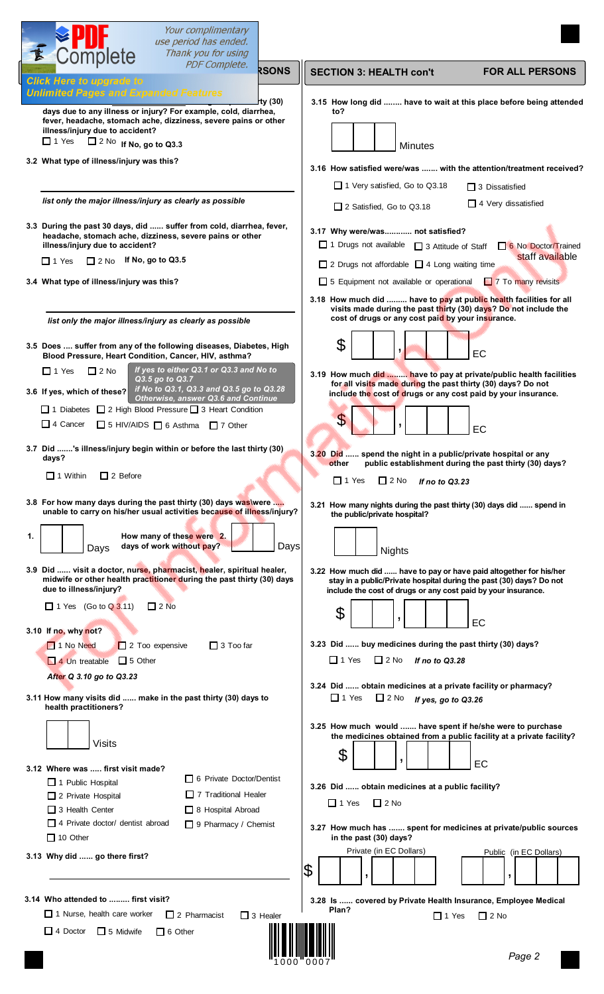| Your complimentary<br>use period has ended.<br>Complete<br>Thank you for using                                                                                                                                                                                                                                                                 |                                                                                                                                                                                                                        |
|------------------------------------------------------------------------------------------------------------------------------------------------------------------------------------------------------------------------------------------------------------------------------------------------------------------------------------------------|------------------------------------------------------------------------------------------------------------------------------------------------------------------------------------------------------------------------|
| <b>PDF Complete.</b><br><b>RSONS</b><br><b>Click Here to upgrade to</b>                                                                                                                                                                                                                                                                        | <b>SECTION 3: HEALTH con't</b><br><b>FOR ALL PERSONS</b>                                                                                                                                                               |
| <b>Unlimited Pages and Expanded Features</b><br>rty (30)<br>days due to any illness or injury? For example, cold, diarrhea,<br>fever, headache, stomach ache, dizziness, severe pains or other<br>illness/injury due to accident?<br>$\Box$ 1 Yes $\Box$ 2 No If No, go to Q3.3                                                                | 3.15 How long did  have to wait at this place before being attended<br>to?<br><b>Minutes</b>                                                                                                                           |
| 3.2 What type of illness/injury was this?                                                                                                                                                                                                                                                                                                      | 3.16 How satisfied were/was  with the attention/treatment received?<br>□ 1 Very satisfied, Go to Q3.18<br>$\Box$ 3 Dissatisfied                                                                                        |
| list only the major illness/injury as clearly as possible                                                                                                                                                                                                                                                                                      | $\Box$ 4 Very dissatisfied<br>□ 2 Satisfied, Go to Q3.18                                                                                                                                                               |
| 3.3 During the past 30 days, did  suffer from cold, diarrhea, fever,<br>headache, stomach ache, dizziness, severe pains or other<br>illness/injury due to accident?<br>$\Box$ 2 No If No, go to Q3.5<br>$\Box$ 1 Yes                                                                                                                           | 3.17 Why were/was not satisfied?<br>$\Box$ 1 Drugs not available<br>6 No Doctor/Trained<br>□ 3 Attitude of Staff<br>staff available                                                                                    |
| 3.4 What type of illness/injury was this?                                                                                                                                                                                                                                                                                                      | $\Box$ 2 Drugs not affordable $\Box$ 4 Long waiting time<br>7 To many revisits<br>5 Equipment not available or operational                                                                                             |
| list only the major illness/injury as clearly as possible                                                                                                                                                                                                                                                                                      | 3.18 How much did  have to pay at public health facilities for all<br>visits made during the past thirty (30) days? Do not include the<br>cost of drugs or any cost paid by your insurance.                            |
| 3.5 Does  suffer from any of the following diseases, Diabetes, High<br>Blood Pressure, Heart Condition, Cancer, HIV, asthma?                                                                                                                                                                                                                   | \$<br>۶.<br>EC                                                                                                                                                                                                         |
| If yes to either Q3.1 or Q3.3 and No to<br>$\Box$ 1 Yes<br>$\Box$ 2 No<br>Q3.5 go to Q3.7<br>if No to Q3.1, Q3.3 and Q3.5 go to Q3.28<br>3.6 If yes, which of these?<br>Otherwise, answer Q3.6 and Continue<br>□ 1 Diabetes □ 2 High Blood Pressure □ 3 Heart Condition<br>$\Box$ 4 Cancer<br>$\Box$ 5 HIV/AIDS $\Box$ 6 Asthma $\Box$ 7 Other | 3.19 How much did  have to pay at private/public health facilities<br>for all visits made during the past thirty (30) days? Do not<br>include the cost of drugs or any cost paid by your insurance.<br>S.<br>EC        |
| 3.7 Did 's illness/injury begin within or before the last thirty (30)<br>days?<br>$\Box$ 1 Within<br>$\Box$ 2 Before                                                                                                                                                                                                                           | 3.20 Did  spend the night in a public/private hospital or any<br>other<br>public establishment during the past thirty (30) days?<br>$\Box$ 1 Yes<br>$\Box$ 2 No<br>If no to Q3.23                                      |
| 3.8 For how many days during the past thirty (30) days was were<br>unable to carry on his/her usual activities because of illness/injury?<br>How many of these were 2.<br>1.<br>days of work without pay?<br>Days<br>Days                                                                                                                      | 3.21 How many nights during the past thirty (30) days did  spend in<br>the public/private hospital?<br><b>Nights</b>                                                                                                   |
| 3.9 Did  visit a doctor, nurse, pharmacist, healer, spiritual healer,<br>midwife or other health practitioner during the past thirty (30) days<br>due to illness/injury?<br>$\Box$ 1 Yes (Go to Q 3.11)<br>$\Box$ 2 No                                                                                                                         | 3.22 How much did  have to pay or have paid altogether for his/her<br>stay in a public/Private hospital during the past (30) days? Do not<br>include the cost of drugs or any cost paid by your insurance.<br>\$<br>EC |
| 3.10 If no, why not?<br>1 No Need<br>$\Box$ 3 Too far<br>$\Box$ 2 Too expensive<br>$\Box$ 5 Other<br>$\Box$ 4 Un treatable<br>After Q 3.10 go to Q3.23                                                                                                                                                                                         | 3.23 Did  buy medicines during the past thirty (30) days?<br>$\Box$ 1 Yes<br>$\Box$ 2 No<br>If no to Q3.28<br>3.24 Did  obtain medicines at a private facility or pharmacy?                                            |
| 3.11 How many visits did  make in the past thirty (30) days to<br>health practitioners?                                                                                                                                                                                                                                                        | $\Box$ 1 Yes<br>$\Box$ 2 No<br>If yes, go to Q3.26<br>3.25 How much would  have spent if he/she were to purchase                                                                                                       |
| <b>Visits</b><br>3.12 Where was  first visit made?<br>6 Private Doctor/Dentist                                                                                                                                                                                                                                                                 | the medicines obtained from a public facility at a private facility?<br>\$<br>,<br>EC                                                                                                                                  |
| $\Box$ 1 Public Hospital<br>$\Box$ 7 Traditional Healer<br>$\Box$ 2 Private Hospital<br>$\Box$ 3 Health Center<br>$\Box$ 8 Hospital Abroad<br>$\Box$ 4 Private doctor/ dentist abroad<br>$\Box$ 9 Pharmacy / Chemist                                                                                                                           | 3.26 Did  obtain medicines at a public facility?<br>$\Box$ 1 Yes<br>$\Box$ 2 No                                                                                                                                        |
| $\Box$ 10 Other<br>3.13 Why did  go there first?                                                                                                                                                                                                                                                                                               | 3.27 How much has  spent for medicines at private/public sources<br>in the past (30) days?<br>Private (in EC Dollars)<br>Public (in EC Dollars)<br>\$                                                                  |
|                                                                                                                                                                                                                                                                                                                                                | ,                                                                                                                                                                                                                      |
| 3.14 Who attended to  first visit?<br>$\Box$ 1 Nurse, health care worker<br>$\Box$ 2 Pharmacist<br>$\Box$ 3 Healer                                                                                                                                                                                                                             | $3.28$ Is<br>covered by Private Health Insurance, Employee Medical<br>Plan?<br>$\Box$ 1 Yes<br>$\Box$ 2 No                                                                                                             |
| 4 Doctor 5 Midwife<br>$\Box$ 6 Other                                                                                                                                                                                                                                                                                                           | Page 2                                                                                                                                                                                                                 |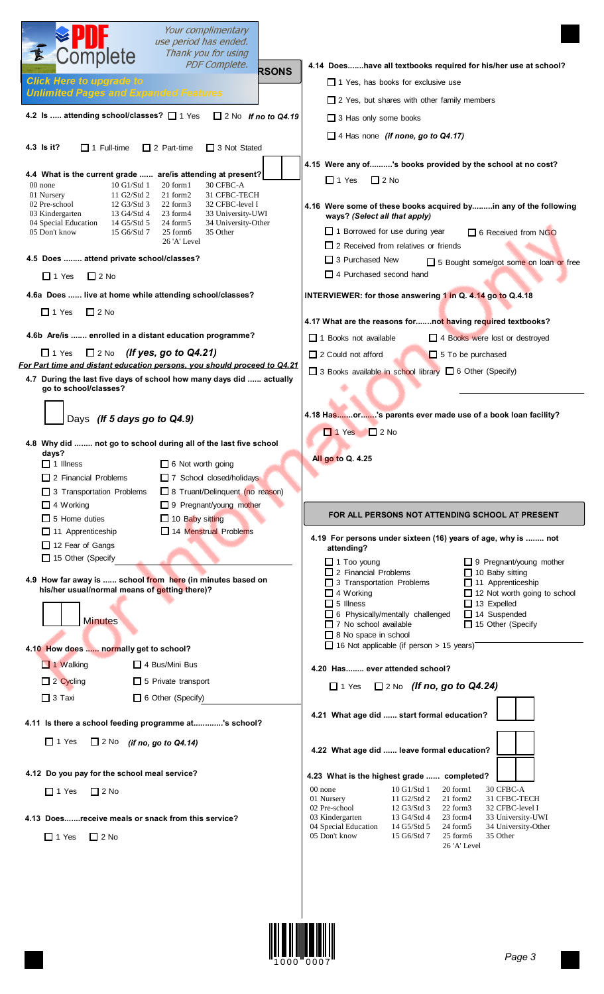| Your complimentary<br>use period has ended.<br>Thank you for using<br>Complete                                                                                                                                                                                                                              |                                                                                                                                                                                                                   |
|-------------------------------------------------------------------------------------------------------------------------------------------------------------------------------------------------------------------------------------------------------------------------------------------------------------|-------------------------------------------------------------------------------------------------------------------------------------------------------------------------------------------------------------------|
| <b>PDF Complete.</b><br><b>RSONS</b>                                                                                                                                                                                                                                                                        | 4.14 Doeshave all textbooks required for his/her use at school?                                                                                                                                                   |
| <b>Click Here to upgrade to</b><br><b>Unlimited Pages and Expanded Features</b>                                                                                                                                                                                                                             | $\Box$ 1 Yes. has books for exclusive use                                                                                                                                                                         |
|                                                                                                                                                                                                                                                                                                             | $\Box$ 2 Yes, but shares with other family members                                                                                                                                                                |
| 4.2 Is  attending school/classes? [ 1 Yes<br>$\Box$ 2 No If no to Q4.19                                                                                                                                                                                                                                     | 3 Has only some books                                                                                                                                                                                             |
|                                                                                                                                                                                                                                                                                                             | $\Box$ 4 Has none (if none, go to Q4.17)                                                                                                                                                                          |
| 4.3 ls it?<br>$\Box$ 1 Full-time<br>$\Box$ 2 Part-time<br>$\Box$ 3 Not Stated                                                                                                                                                                                                                               |                                                                                                                                                                                                                   |
| 4.4 What is the current grade  are/is attending at present?<br>00 none<br>$10$ G1/Std 1<br>20 form1<br>30 CFBC-A<br>21 form2<br>01 Nursery<br>11 G2/Std 2<br>31 CFBC-TECH<br>02 Pre-school<br>12 G3/Std 3<br>22 form3<br>32 CFBC-level I<br>03 Kindergarten<br>13 G4/Std 4<br>23 form4<br>33 University-UWI | 4.15 Were any of's books provided by the school at no cost?<br>$\Box$ 1 Yes<br>$\Box$ 2 No<br>4.16 Were some of these books acquired byin any of the following                                                    |
| 14 G5/Std 5<br>04 Special Education<br>24 form5<br>34 University-Other<br>05 Don't know<br>15 G6/Std 7<br>25 form6<br>35 Other<br>26 'A' Level                                                                                                                                                              | ways? (Select all that apply)<br>$\Box$ 1 Borrowed for use during year<br>□ 6 Received from NGO<br>□ 2 Received from relatives or friends                                                                         |
| 4.5 Does  attend private school/classes?                                                                                                                                                                                                                                                                    | $\Box$ 3 Purchased New<br>5 Bought some/got some on loan or free                                                                                                                                                  |
| $\Box$ 2 No<br>$\Box$ 1 Yes                                                                                                                                                                                                                                                                                 | $\Box$ 4 Purchased second hand                                                                                                                                                                                    |
| 4.6a Does  live at home while attending school/classes?                                                                                                                                                                                                                                                     | INTERVIEWER: for those answering 1 in Q. 4.14 go to Q.4.18                                                                                                                                                        |
| $\Box$ 1 Yes<br>$\Box$ 2 No                                                                                                                                                                                                                                                                                 |                                                                                                                                                                                                                   |
|                                                                                                                                                                                                                                                                                                             | 4.17 What are the reasons fornot having required textbooks?                                                                                                                                                       |
| 4.6b Are/is  enrolled in a distant education programme?                                                                                                                                                                                                                                                     | $\Box$ 1 Books not available<br>4 Books were lost or destroyed                                                                                                                                                    |
| $\Box$ 1 Yes<br>(If yes, go to Q4.21)<br>$\Box$ 2 No                                                                                                                                                                                                                                                        | $\Box$ 2 Could not afford<br>$\Box$ 5 To be purchased                                                                                                                                                             |
| For Part time and distant education persons, you should proceed to Q4.21                                                                                                                                                                                                                                    | □ 3 Books available in school library □ 6 Other (Specify)                                                                                                                                                         |
| 4.7 During the last five days of school how many days did  actually<br>go to school/classes?                                                                                                                                                                                                                |                                                                                                                                                                                                                   |
| Days (If 5 days go to Q4.9)                                                                                                                                                                                                                                                                                 | 4.18 Hasor's parents ever made use of a book loan facility?                                                                                                                                                       |
|                                                                                                                                                                                                                                                                                                             | $\Box$ 1 Yes<br>$\Box$ 2 No                                                                                                                                                                                       |
| 4.8 Why did  not go to school during all of the last five school<br>days?                                                                                                                                                                                                                                   |                                                                                                                                                                                                                   |
| 6 Not worth going<br>$\Box$ 1 Illness                                                                                                                                                                                                                                                                       | All go to Q. 4.25                                                                                                                                                                                                 |
| 7 School closed/holidays<br>$\Box$ 2 Financial Problems                                                                                                                                                                                                                                                     |                                                                                                                                                                                                                   |
| 8 Truant/Delinquent (no reason)<br>$\Box$ 3 Transportation Problems<br>$\Box$ 4 Working<br>9 Pregnant/young mother                                                                                                                                                                                          |                                                                                                                                                                                                                   |
| $\Box$ 5 Home duties<br>10 Baby sitting                                                                                                                                                                                                                                                                     | FOR ALL PERSONS NOT ATTENDING SCHOOL AT PRESENT                                                                                                                                                                   |
| 14 Menstrual Problems<br>$\Box$ 11 Apprenticeship                                                                                                                                                                                                                                                           |                                                                                                                                                                                                                   |
| □ 12 Fear of Gangs                                                                                                                                                                                                                                                                                          | 4.19 For persons under sixteen (16) years of age, why is  not<br>attending?                                                                                                                                       |
| $\Box$ 15 Other (Specify<br>4.9 How far away is  school from here (in minutes based on                                                                                                                                                                                                                      | $\Box$ 1 Too young<br>$\Box$ 9 Pregnant/young mother<br>$\Box$ 2 Financial Problems<br>$\Box$ 10 Baby sitting<br>$\Box$ 3 Transportation Problems<br>$\Box$ 11 Apprenticeship                                     |
| his/her usual/normal means of getting there)?                                                                                                                                                                                                                                                               | $\Box$ 4 Working<br>12 Not worth going to school<br>$\Box$ 5 Illness<br>$\Box$ 13 Expelled                                                                                                                        |
|                                                                                                                                                                                                                                                                                                             | 6 Physically/mentally challenged<br>□ 14 Suspended                                                                                                                                                                |
| <b>Minutes</b>                                                                                                                                                                                                                                                                                              | $\Box$ 15 Other (Specify<br>$\Box$ 7 No school available<br>$\Box$ 8 No space in school                                                                                                                           |
| 4.10 How does  normally get to school?                                                                                                                                                                                                                                                                      | $\Box$ 16 Not applicable (if person > 15 years)                                                                                                                                                                   |
| 1 Walking<br>$\Box$ 4 Bus/Mini Bus                                                                                                                                                                                                                                                                          | 4.20 Has ever attended school?                                                                                                                                                                                    |
| $\Box$ 2 Cycling<br>$\Box$ 5 Private transport                                                                                                                                                                                                                                                              |                                                                                                                                                                                                                   |
| $\Box$ 3 Taxi<br>$\Box$ 6 Other (Specify)                                                                                                                                                                                                                                                                   | $\Box$ 1 Yes $\Box$ 2 No (If no, go to Q4.24)                                                                                                                                                                     |
| 4.11 Is there a school feeding programme at's school?                                                                                                                                                                                                                                                       | 4.21 What age did  start formal education?                                                                                                                                                                        |
|                                                                                                                                                                                                                                                                                                             |                                                                                                                                                                                                                   |
|                                                                                                                                                                                                                                                                                                             | 4.22 What age did  leave formal education?                                                                                                                                                                        |
| $\Box$ 1 Yes<br>$\Box$ 2 No (if no, go to Q4.14)                                                                                                                                                                                                                                                            |                                                                                                                                                                                                                   |
| 4.12 Do you pay for the school meal service?                                                                                                                                                                                                                                                                | 4.23 What is the highest grade  completed?                                                                                                                                                                        |
| $\Box$ 1 Yes<br>$\Box$ 2 No                                                                                                                                                                                                                                                                                 | 30 CFBC-A<br>00 none<br>10 G1/Std 1<br>20 form1<br>01 Nursery<br>11 G2/Std 2<br>21 form2<br>31 CFBC-TECH                                                                                                          |
|                                                                                                                                                                                                                                                                                                             | 02 Pre-school<br>12 G3/Std 3<br>22 form3<br>32 CFBC-level I                                                                                                                                                       |
| 4.13 Doesreceive meals or snack from this service?<br>$\Box$ 1 Yes<br>$\Box$ 2 No                                                                                                                                                                                                                           | 03 Kindergarten<br>13 G4/Std 4<br>23 form4<br>33 University-UWI<br>04 Special Education<br>14 G5/Std 5<br>34 University-Other<br>24 form5<br>05 Don't know<br>15 G6/Std 7<br>35 Other<br>25 form6<br>26 'A' Level |

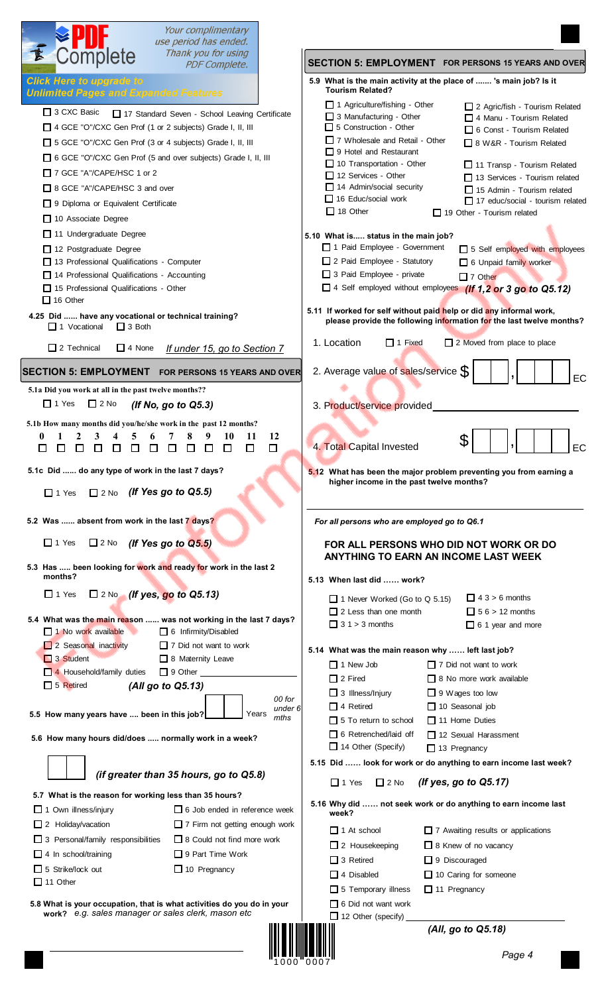| Complete<br>Thank you for using<br>SECTION 5: EMPLOYMENT FOR PERSONS 15 YEARS AND OVER<br><b>PDF Complete.</b><br><b>Click Here to upgrade to</b><br>5.9 What is the main activity at the place of  's main job? Is it<br><b>Tourism Related?</b><br><b>Unlimited Pages and Expanded Features</b><br>$\Box$ 1 Agriculture/fishing - Other<br>$\Box$ 2 Agric/fish - Tourism Related<br>$\Box$ 3 CXC Basic<br>17 Standard Seven - School Leaving Certificate<br>$\Box$ 3 Manufacturing - Other<br>$\Box$ 4 Manu - Tourism Related<br>$\Box$ 5 Construction - Other<br>□ 4 GCE "O"/CXC Gen Prof (1 or 2 subjects) Grade I, II, III<br>6 Const - Tourism Related<br>7 Wholesale and Retail - Other<br>□ 5 GCE "O"/CXC Gen Prof (3 or 4 subjects) Grade I, II, III<br>$\Box$ 8 W&R - Tourism Related<br>$\Box$ 9 Hotel and Restaurant<br>□ 6 GCE "O"/CXC Gen Prof (5 and over subjects) Grade I, II, III<br>$\Box$ 10 Transportation - Other<br>$\Box$ 11 Transp - Tourism Related<br>□ 7 GCE "A"/CAPE/HSC 1 or 2<br>$\Box$ 12 Services - Other<br>$\Box$ 13 Services - Tourism related<br>14 Admin/social security<br>□ 8 GCE "A"/CAPE/HSC 3 and over<br>$\Box$ 15 Admin - Tourism related<br>$\Box$ 16 Educ/social work<br>$\Box$ 17 educ/social - tourism related<br>□ 9 Diploma or Equivalent Certificate<br>$\Box$ 18 Other<br>$\Box$ 19 Other - Tourism related<br>$\Box$ 10 Associate Degree<br>11 Undergraduate Degree<br>5.10 What is status in the main job?<br>1 Paid Employee - Government<br>5 Self employed with employees<br>12 Postgraduate Degree<br>2 Paid Employee - Statutory<br>13 Professional Qualifications - Computer<br>6 Unpaid family worker<br>3 Paid Employee - private<br>14 Professional Qualifications - Accounting<br>$\Box$ 7 Other<br>□ 4 Self employed without employees (If 1,2 or 3 go to Q5.12)<br>$\Box$ 15 Professional Qualifications - Other<br>$\Box$ 16 Other<br>5.11 If worked for self without paid help or did any informal work,<br>4.25 Did  have any vocational or technical training?<br>please provide the following information for the last twelve months?<br>$\Box$ 1 Vocational<br>$\Box$ 3 Both<br>1. Location<br>$\Box$ 1 Fixed<br>$\Box$ 2 Moved from place to place<br>$\Box$ 2 Technical<br>$\Box$ 4 None<br>If under 15, go to Section 7<br>2. Average value of sales/service S<br><b>SECTION 5: EMPLOYMENT</b><br><b>FOR PERSONS 15 YEARS AND OVER</b><br>5.1a Did you work at all in the past twelve months??<br>$\Box$ 1 Yes<br>$\Box$ 2 No<br>(If No, go to $Q5.3$ )<br>3. Product/service provided<br>5.1b How many months did you/he/she work in the past 12 months?<br>12<br>10<br>11<br>0<br>8<br>S<br>4. Total Capital Invested<br>□<br>□<br>П<br>$\Box$<br>$\Box$<br>$\Box$<br>$\mathbf{L}$<br>$\Box$<br>П<br>Ш<br>$\Box$<br>Ш |    |
|-----------------------------------------------------------------------------------------------------------------------------------------------------------------------------------------------------------------------------------------------------------------------------------------------------------------------------------------------------------------------------------------------------------------------------------------------------------------------------------------------------------------------------------------------------------------------------------------------------------------------------------------------------------------------------------------------------------------------------------------------------------------------------------------------------------------------------------------------------------------------------------------------------------------------------------------------------------------------------------------------------------------------------------------------------------------------------------------------------------------------------------------------------------------------------------------------------------------------------------------------------------------------------------------------------------------------------------------------------------------------------------------------------------------------------------------------------------------------------------------------------------------------------------------------------------------------------------------------------------------------------------------------------------------------------------------------------------------------------------------------------------------------------------------------------------------------------------------------------------------------------------------------------------------------------------------------------------------------------------------------------------------------------------------------------------------------------------------------------------------------------------------------------------------------------------------------------------------------------------------------------------------------------------------------------------------------------------------------------------------------------------------------------------------------------------------------------------------------------------------------------------------------------------------------------------------------------------------------------------------------------------------------------------------------------------------------------------------------------------------------------------------------------------------------------|----|
|                                                                                                                                                                                                                                                                                                                                                                                                                                                                                                                                                                                                                                                                                                                                                                                                                                                                                                                                                                                                                                                                                                                                                                                                                                                                                                                                                                                                                                                                                                                                                                                                                                                                                                                                                                                                                                                                                                                                                                                                                                                                                                                                                                                                                                                                                                                                                                                                                                                                                                                                                                                                                                                                                                                                                                                                     |    |
|                                                                                                                                                                                                                                                                                                                                                                                                                                                                                                                                                                                                                                                                                                                                                                                                                                                                                                                                                                                                                                                                                                                                                                                                                                                                                                                                                                                                                                                                                                                                                                                                                                                                                                                                                                                                                                                                                                                                                                                                                                                                                                                                                                                                                                                                                                                                                                                                                                                                                                                                                                                                                                                                                                                                                                                                     |    |
|                                                                                                                                                                                                                                                                                                                                                                                                                                                                                                                                                                                                                                                                                                                                                                                                                                                                                                                                                                                                                                                                                                                                                                                                                                                                                                                                                                                                                                                                                                                                                                                                                                                                                                                                                                                                                                                                                                                                                                                                                                                                                                                                                                                                                                                                                                                                                                                                                                                                                                                                                                                                                                                                                                                                                                                                     |    |
|                                                                                                                                                                                                                                                                                                                                                                                                                                                                                                                                                                                                                                                                                                                                                                                                                                                                                                                                                                                                                                                                                                                                                                                                                                                                                                                                                                                                                                                                                                                                                                                                                                                                                                                                                                                                                                                                                                                                                                                                                                                                                                                                                                                                                                                                                                                                                                                                                                                                                                                                                                                                                                                                                                                                                                                                     |    |
|                                                                                                                                                                                                                                                                                                                                                                                                                                                                                                                                                                                                                                                                                                                                                                                                                                                                                                                                                                                                                                                                                                                                                                                                                                                                                                                                                                                                                                                                                                                                                                                                                                                                                                                                                                                                                                                                                                                                                                                                                                                                                                                                                                                                                                                                                                                                                                                                                                                                                                                                                                                                                                                                                                                                                                                                     |    |
|                                                                                                                                                                                                                                                                                                                                                                                                                                                                                                                                                                                                                                                                                                                                                                                                                                                                                                                                                                                                                                                                                                                                                                                                                                                                                                                                                                                                                                                                                                                                                                                                                                                                                                                                                                                                                                                                                                                                                                                                                                                                                                                                                                                                                                                                                                                                                                                                                                                                                                                                                                                                                                                                                                                                                                                                     | EC |
|                                                                                                                                                                                                                                                                                                                                                                                                                                                                                                                                                                                                                                                                                                                                                                                                                                                                                                                                                                                                                                                                                                                                                                                                                                                                                                                                                                                                                                                                                                                                                                                                                                                                                                                                                                                                                                                                                                                                                                                                                                                                                                                                                                                                                                                                                                                                                                                                                                                                                                                                                                                                                                                                                                                                                                                                     |    |
| 5.1c Did  do any type of work in the last 7 days?<br>5.12 What has been the major problem preventing you from earning a<br>higher income in the past twelve months?<br>$\Box$ 2 No (If Yes go to Q5.5)<br>$\Box$ 1 Yes                                                                                                                                                                                                                                                                                                                                                                                                                                                                                                                                                                                                                                                                                                                                                                                                                                                                                                                                                                                                                                                                                                                                                                                                                                                                                                                                                                                                                                                                                                                                                                                                                                                                                                                                                                                                                                                                                                                                                                                                                                                                                                                                                                                                                                                                                                                                                                                                                                                                                                                                                                              | EC |
| 5.2 Was  absent from work in the last 7 days?<br>For all persons who are employed go to Q6.1                                                                                                                                                                                                                                                                                                                                                                                                                                                                                                                                                                                                                                                                                                                                                                                                                                                                                                                                                                                                                                                                                                                                                                                                                                                                                                                                                                                                                                                                                                                                                                                                                                                                                                                                                                                                                                                                                                                                                                                                                                                                                                                                                                                                                                                                                                                                                                                                                                                                                                                                                                                                                                                                                                        |    |
| $\Box$ 1 Yes<br>$\square$ 2 No (If Yes go to Q5.5)<br>FOR ALL PERSONS WHO DID NOT WORK OR DO                                                                                                                                                                                                                                                                                                                                                                                                                                                                                                                                                                                                                                                                                                                                                                                                                                                                                                                                                                                                                                                                                                                                                                                                                                                                                                                                                                                                                                                                                                                                                                                                                                                                                                                                                                                                                                                                                                                                                                                                                                                                                                                                                                                                                                                                                                                                                                                                                                                                                                                                                                                                                                                                                                        |    |
| ANYTHING TO EARN AN INCOME LAST WEEK<br>5.3 Has  been looking for work and ready for work in the last 2<br>months?<br>5.13 When last did  work?                                                                                                                                                                                                                                                                                                                                                                                                                                                                                                                                                                                                                                                                                                                                                                                                                                                                                                                                                                                                                                                                                                                                                                                                                                                                                                                                                                                                                                                                                                                                                                                                                                                                                                                                                                                                                                                                                                                                                                                                                                                                                                                                                                                                                                                                                                                                                                                                                                                                                                                                                                                                                                                     |    |
| $\square$ 2 No (If yes, go to Q5.13)<br>$\Box$ 1 Yes<br>$\Box$ 4 3 > 6 months<br>$\Box$ 1 Never Worked (Go to Q 5.15)<br>$\Box$ 5 6 > 12 months<br>$\Box$ 2 Less than one month<br>5.4 What was the main reason  was not working in the last 7 days?<br>$\Box$ 3 1 > 3 months<br>$\Box$ 6 1 year and more                                                                                                                                                                                                                                                                                                                                                                                                                                                                                                                                                                                                                                                                                                                                                                                                                                                                                                                                                                                                                                                                                                                                                                                                                                                                                                                                                                                                                                                                                                                                                                                                                                                                                                                                                                                                                                                                                                                                                                                                                                                                                                                                                                                                                                                                                                                                                                                                                                                                                           |    |
| 1 No work available<br>6 Infirmity/Disabled<br>2 Seasonal inactivity<br>$\Box$ 7 Did not want to work<br>5.14 What was the main reason why  left last job?<br>3 Student<br>8 Maternity Leave<br>$\Box$ 1 New Job<br>$\Box$ 7 Did not want to work<br>4 Household/family duties<br>$\Box$ 9 Other<br>$\Box$ 2 Fired<br>$\Box$ 8 No more work available<br>$\Box$ 5 Retired<br>(All go to Q5.13)<br>$\Box$ 3 Illness/Injury<br>$\Box$ 9 Wages too low<br>00 for<br>$\Box$ 4 Retired<br>$\Box$ 10 Seasonal job<br>under 6                                                                                                                                                                                                                                                                                                                                                                                                                                                                                                                                                                                                                                                                                                                                                                                                                                                                                                                                                                                                                                                                                                                                                                                                                                                                                                                                                                                                                                                                                                                                                                                                                                                                                                                                                                                                                                                                                                                                                                                                                                                                                                                                                                                                                                                                              |    |
| 5.5 How many years have  been in this job?<br>Years<br>mths<br>$\Box$ 5 To return to school<br>$\Box$ 11 Home Duties<br>$\Box$ 6 Retrenched/laid of f<br>$\Box$ 12 Sexual Harassment                                                                                                                                                                                                                                                                                                                                                                                                                                                                                                                                                                                                                                                                                                                                                                                                                                                                                                                                                                                                                                                                                                                                                                                                                                                                                                                                                                                                                                                                                                                                                                                                                                                                                                                                                                                                                                                                                                                                                                                                                                                                                                                                                                                                                                                                                                                                                                                                                                                                                                                                                                                                                |    |
| 5.6 How many hours did/does  normally work in a week?<br>$\Box$ 14 Other (Specify)<br>$\Box$ 13 Pregnancy                                                                                                                                                                                                                                                                                                                                                                                                                                                                                                                                                                                                                                                                                                                                                                                                                                                                                                                                                                                                                                                                                                                                                                                                                                                                                                                                                                                                                                                                                                                                                                                                                                                                                                                                                                                                                                                                                                                                                                                                                                                                                                                                                                                                                                                                                                                                                                                                                                                                                                                                                                                                                                                                                           |    |
| 5.15 Did  look for work or do anything to earn income last week?<br>(if greater than 35 hours, go to Q5.8)<br>(If yes, go to Q5.17)<br>$\Box$ 1 Yes<br>$\Box$ 2 No                                                                                                                                                                                                                                                                                                                                                                                                                                                                                                                                                                                                                                                                                                                                                                                                                                                                                                                                                                                                                                                                                                                                                                                                                                                                                                                                                                                                                                                                                                                                                                                                                                                                                                                                                                                                                                                                                                                                                                                                                                                                                                                                                                                                                                                                                                                                                                                                                                                                                                                                                                                                                                  |    |
| 5.7 What is the reason for working less than 35 hours?<br>5.16 Why did  not seek work or do anything to earn income last<br>$\Box$ 6 Job ended in reference week<br>$\Box$ 1 Own illness/injury<br>week?                                                                                                                                                                                                                                                                                                                                                                                                                                                                                                                                                                                                                                                                                                                                                                                                                                                                                                                                                                                                                                                                                                                                                                                                                                                                                                                                                                                                                                                                                                                                                                                                                                                                                                                                                                                                                                                                                                                                                                                                                                                                                                                                                                                                                                                                                                                                                                                                                                                                                                                                                                                            |    |
| $\Box$ 2 Holiday/vacation<br>$\Box$ 7 Firm not getting enough work<br>$\Box$ 1 At school<br>$\Box$ 7 Awaiting results or applications<br>$\Box$ 3 Personal/family responsibilities<br>□ 8 Could not find more work<br>$\Box$ 2 Housekeeping<br>$\Box$ 8 Knew of no vacancy<br>$\Box$ 4 In school/training<br>$\Box$ 9 Part Time Work<br>$\Box$ 3 Retired<br>9 Discouraged                                                                                                                                                                                                                                                                                                                                                                                                                                                                                                                                                                                                                                                                                                                                                                                                                                                                                                                                                                                                                                                                                                                                                                                                                                                                                                                                                                                                                                                                                                                                                                                                                                                                                                                                                                                                                                                                                                                                                                                                                                                                                                                                                                                                                                                                                                                                                                                                                           |    |
| $\Box$ 5 Strike/lock out<br>$\Box$ 10 Pregnancy<br>$\Box$ 4 Disabled<br>10 Caring for someone<br>$\Box$ 11 Other<br>$\Box$ 5 Temporary illness<br>$\Box$ 11 Pregnancy                                                                                                                                                                                                                                                                                                                                                                                                                                                                                                                                                                                                                                                                                                                                                                                                                                                                                                                                                                                                                                                                                                                                                                                                                                                                                                                                                                                                                                                                                                                                                                                                                                                                                                                                                                                                                                                                                                                                                                                                                                                                                                                                                                                                                                                                                                                                                                                                                                                                                                                                                                                                                               |    |
| 6 Did not want work<br>5.8 What is your occupation, that is what activities do you do in your<br>work? e.g. sales manager or sales clerk, mason etc<br>$\Box$ 12 Other (specify)<br>(All, go to Q5.18)                                                                                                                                                                                                                                                                                                                                                                                                                                                                                                                                                                                                                                                                                                                                                                                                                                                                                                                                                                                                                                                                                                                                                                                                                                                                                                                                                                                                                                                                                                                                                                                                                                                                                                                                                                                                                                                                                                                                                                                                                                                                                                                                                                                                                                                                                                                                                                                                                                                                                                                                                                                              |    |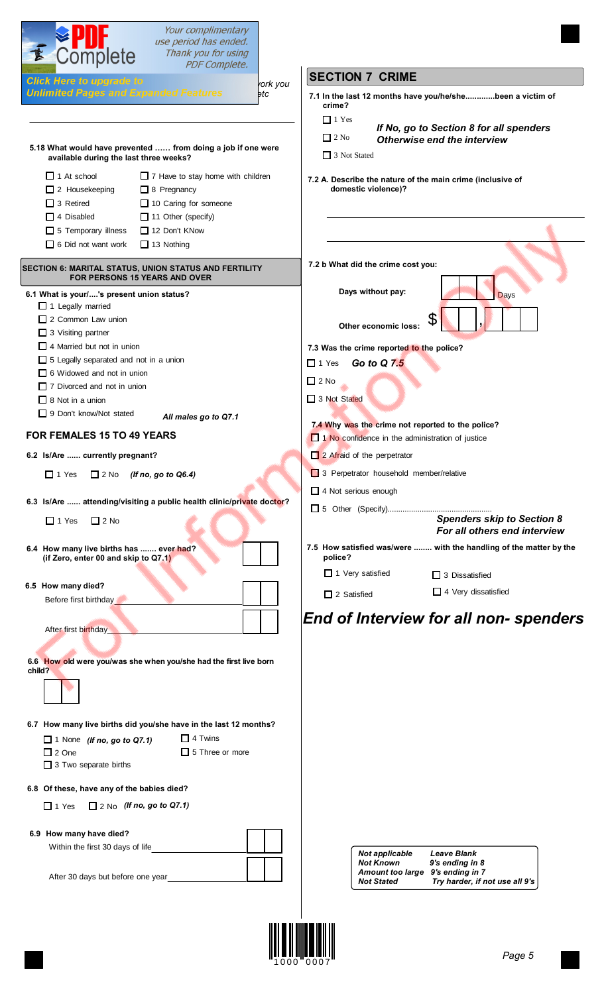| Complete                                                                                                                                                                                                            | Your complimentary<br>use period has ended.<br>Thank you for using |                 |                                                                                                           |                                                                   |
|---------------------------------------------------------------------------------------------------------------------------------------------------------------------------------------------------------------------|--------------------------------------------------------------------|-----------------|-----------------------------------------------------------------------------------------------------------|-------------------------------------------------------------------|
|                                                                                                                                                                                                                     | <b>PDF Complete.</b>                                               |                 | <b>SECTION 7 CRIME</b>                                                                                    |                                                                   |
| <b>Click Here to upgrade to</b><br><b>Unlimited Pages and Expanded Features</b>                                                                                                                                     |                                                                    | rork you<br>∍tc | 7.1 In the last 12 months have you/he/shebeen a victim of                                                 |                                                                   |
| 5.18 What would have prevented  from doing a job if one were                                                                                                                                                        |                                                                    |                 | crime?<br>$\Box$ 1 Yes<br>$\Box$ 2 No<br>Otherwise end the interview                                      | If No, go to Section 8 for all spenders                           |
| available during the last three weeks?                                                                                                                                                                              |                                                                    |                 | $\Box$ 3 Not Stated                                                                                       |                                                                   |
| $\Box$ 1 At school<br>$\Box$ 2 Housekeeping<br>$\Box$ 8 Pregnancy<br>$\Box$ 3 Retired<br>10 Caring for someone<br>$\Box$ 11 Other (specify)<br>$\Box$ 4 Disabled<br>5 Temporary illness<br>$\Box$ 12 Don't KNow     | $\Box$ 7 Have to stay home with children                           |                 | 7.2 A. Describe the nature of the main crime (inclusive of<br>domestic violence)?                         |                                                                   |
| $\Box$ 6 Did not want work<br>$\Box$ 13 Nothing                                                                                                                                                                     |                                                                    |                 |                                                                                                           |                                                                   |
| SECTION 6: MARITAL STATUS, UNION STATUS AND FERTILITY<br><b>FOR PERSONS 15 YEARS AND OVER</b><br>6.1 What is your/'s present union status?<br>$\Box$ 1 Legally married                                              |                                                                    |                 | 7.2 b What did the crime cost you:<br>Days without pay:                                                   | Days                                                              |
| $\Box$ 2 Common Law union<br>$\Box$ 3 Visiting partner                                                                                                                                                              |                                                                    |                 | S<br>Other economic loss:                                                                                 |                                                                   |
| $\Box$ 4 Married but not in union<br>5 Legally separated and not in a union<br>$\Box$ 6 Widowed and not in union<br>$\Box$ 7 Divorced and not in union<br>$\Box$ 8 Not in a union<br>$\Box$ 9 Don't know/Not stated | All males go to Q7.1                                               |                 | 7.3 Was the crime reported to the police?<br>Go to Q 7.5<br>$\Box$ 1 Yes<br>$\Box$ 2 No<br>□ 3 Not Stated |                                                                   |
| FOR FEMALES 15 TO 49 YEARS                                                                                                                                                                                          |                                                                    |                 | 7.4 Why was the crime not reported to the police?<br>1 No confidence in the administration of justice     |                                                                   |
| 6.2 Is/Are  currently pregnant?                                                                                                                                                                                     |                                                                    |                 | 2 Afraid of the perpetrator                                                                               |                                                                   |
| $\Box$ 1 Yes<br>$\Box$ 2 No<br>(If no, go to Q6.4)                                                                                                                                                                  |                                                                    |                 | 3 Perpetrator household member/relative                                                                   |                                                                   |
| 6.3 Is/Are  attending/visiting a public health clinic/private doctor?                                                                                                                                               |                                                                    |                 | $\Box$ 4 Not serious enough                                                                               |                                                                   |
| $\Box$ 1 Yes<br>$\Box$ 2 No                                                                                                                                                                                         |                                                                    |                 |                                                                                                           | <b>Spenders skip to Section 8</b><br>For all others end interview |
| 6.4 How many live births has  ever had?<br>(if Zero, enter 00 and skip to Q7.1)                                                                                                                                     |                                                                    |                 | 7.5 How satisfied was/were  with the handling of the matter by the<br>police?<br>$\Box$ 1 Very satisfied  | $\Box$ 3 Dissatisfied                                             |
| 6.5 How many died?                                                                                                                                                                                                  |                                                                    |                 | $\Box$ 2 Satisfied                                                                                        | $\Box$ 4 Very dissatisfied                                        |
| Before first birthday<br>After first birthday                                                                                                                                                                       |                                                                    |                 | End of Interview for all non- spenders                                                                    |                                                                   |
| 6.6 How old were you/was she when you/she had the first live born<br>child?                                                                                                                                         |                                                                    |                 |                                                                                                           |                                                                   |
| 6.7 How many live births did you/she have in the last 12 months?<br>$\Box$ 1 None (If no, go to Q7.1)<br>$\Box$ 2 One<br>$\Box$ 3 Two separate births                                                               | $\Box$ 4 Twins<br>$\Box$ 5 Three or more                           |                 |                                                                                                           |                                                                   |
| 6.8 Of these, have any of the babies died?                                                                                                                                                                          |                                                                    |                 |                                                                                                           |                                                                   |
| $\Box$ 1 Yes $\Box$ 2 No (If no, go to Q7.1)                                                                                                                                                                        |                                                                    |                 |                                                                                                           |                                                                   |
| 6.9 How many have died?<br>Within the first 30 days of life                                                                                                                                                         |                                                                    |                 | <b>Not applicable</b>                                                                                     | <b>Leave Blank</b>                                                |
| After 30 days but before one year                                                                                                                                                                                   |                                                                    |                 | <b>Not Known</b><br>Amount too large 9's ending in 7<br><b>Not Stated</b>                                 | 9's ending in 8<br>Try harder, if not use all 9's                 |

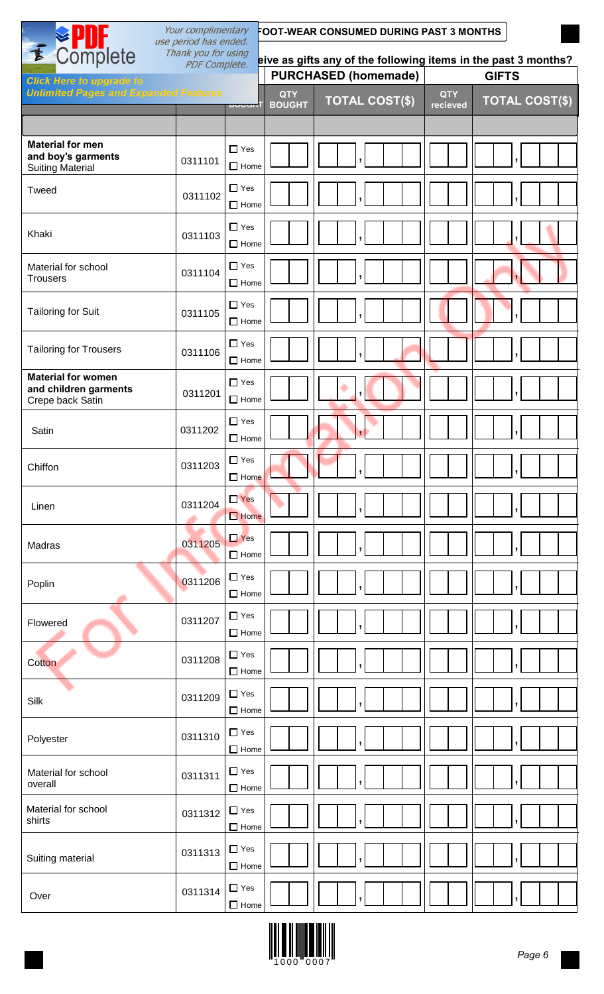| E Complete                                                                      | Your complimentary<br>FOOT-WEAR CONSUMED DURING PAST 3 MONTHS<br>use period has ended.<br>Thank you for using |                           |                             |                             |                        |                       |
|---------------------------------------------------------------------------------|---------------------------------------------------------------------------------------------------------------|---------------------------|-----------------------------|-----------------------------|------------------------|-----------------------|
|                                                                                 | eive as gifts any of the following items in the past 3 months?                                                |                           |                             |                             |                        |                       |
| <b>Click Here to upgrade to</b><br><b>Unlimited Pages and Expanded Features</b> |                                                                                                               |                           |                             | <b>PURCHASED (homemade)</b> |                        | <b>GIFTS</b>          |
|                                                                                 |                                                                                                               | <b>DUUUN</b>              | <b>QTY</b><br><b>BOUGHT</b> | <b>TOTAL COST(\$)</b>       | <b>QTY</b><br>recieved | <b>TOTAL COST(\$)</b> |
|                                                                                 |                                                                                                               |                           |                             |                             |                        |                       |
| <b>Material for men</b><br>and boy's garments<br><b>Suiting Material</b>        | 0311101                                                                                                       | $\Box$ Yes<br>$\Box$ Home |                             |                             |                        |                       |
| Tweed                                                                           | 0311102                                                                                                       | $\Box$ Yes<br>$\Box$ Home |                             |                             |                        |                       |
| Khaki                                                                           | 0311103                                                                                                       | $\Box$ Yes<br>$\Box$ Home |                             |                             |                        |                       |
| Material for school<br><b>Trousers</b>                                          | 0311104                                                                                                       | $\Box$ Yes<br>$\Box$ Home |                             |                             |                        |                       |
| <b>Tailoring for Suit</b>                                                       | 0311105                                                                                                       | $\Box$ Yes<br>$\Box$ Home |                             |                             |                        |                       |
| <b>Tailoring for Trousers</b>                                                   | 0311106                                                                                                       | $\Box$ Yes<br>$\Box$ Home |                             |                             |                        |                       |
| <b>Material for women</b><br>and children garments<br>Crepe back Satin          | 0311201                                                                                                       | $\Box$ Yes<br>$\Box$ Home |                             | $\overline{ }$              |                        |                       |
| Satin                                                                           | 0311202                                                                                                       | $\Box$ Yes<br>$\Box$ Home |                             |                             |                        |                       |
| Chiffon                                                                         | 0311203                                                                                                       | $\Box$ Yes<br>$\Box$ Home |                             |                             |                        | יו                    |
| Linen                                                                           | 0311204                                                                                                       | $\Box$ Yes<br>$\Box$ Home |                             |                             |                        |                       |
| Madras                                                                          | 0311205                                                                                                       | $\Box$ Yes<br>$\Box$ Home |                             |                             |                        |                       |
| Poplin                                                                          | 0311206                                                                                                       | $\Box$ Yes<br>$\Box$ Home |                             |                             |                        |                       |
| Flowered                                                                        | 0311207                                                                                                       | $\Box$ Yes<br>$\Box$ Home |                             |                             |                        |                       |
| Cotton                                                                          | 0311208                                                                                                       | $\Box$ Yes<br>$\Box$ Home |                             |                             |                        |                       |
| Silk                                                                            | 0311209                                                                                                       | $\Box$ Yes<br>$\Box$ Home |                             |                             |                        |                       |
| Polyester                                                                       | 0311310                                                                                                       | $\Box$ Yes<br>$\Box$ Home |                             |                             |                        |                       |
| Material for school<br>overall                                                  | 0311311                                                                                                       | $\Box$ Yes<br>$\Box$ Home |                             |                             |                        |                       |
| Material for school<br>shirts                                                   | 0311312                                                                                                       | $\Box$ Yes<br>$\Box$ Home |                             |                             |                        |                       |
| Suiting material                                                                | 0311313                                                                                                       | $\Box$ Yes<br>$\Box$ Home |                             |                             |                        |                       |
| Over                                                                            | 0311314                                                                                                       | $\Box$ Yes<br>$\Box$ Home |                             |                             |                        |                       |

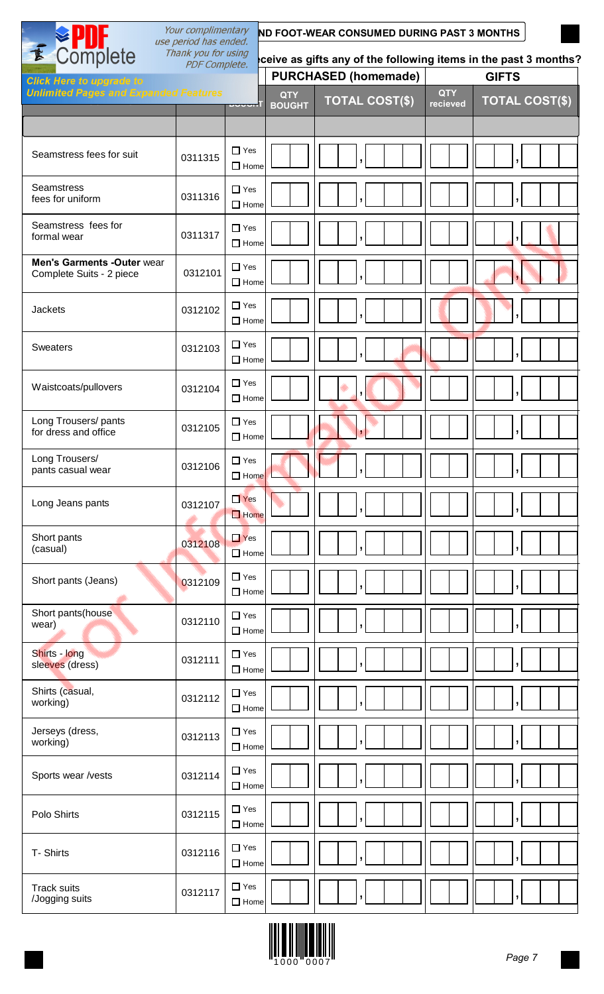|                                                               | Your complimentary<br>use period has ended. |                           | ND FOOT-WEAR CONSUMED DURING PAST 3 MONTHS |                                                                 |                        |                          |  |
|---------------------------------------------------------------|---------------------------------------------|---------------------------|--------------------------------------------|-----------------------------------------------------------------|------------------------|--------------------------|--|
| Complete<br>$\overline{\mathbf{k}}$                           | Thank you for using<br><b>PDF Complete.</b> |                           |                                            | ceive as gifts any of the following items in the past 3 months? |                        |                          |  |
| <b>Click Here to upgrade to</b>                               |                                             |                           |                                            | <b>PURCHASED (homemade)</b>                                     |                        | <b>GIFTS</b>             |  |
| <b>Unlimited Pages and Expanded Features</b>                  |                                             | <u>uvuurl</u>             | <b>QTY</b><br><b>BOUGHT</b>                | <b>TOTAL COST(\$)</b>                                           | <b>QTY</b><br>recieved | <b>TOTAL COST(\$)</b>    |  |
|                                                               |                                             |                           |                                            |                                                                 |                        |                          |  |
| Seamstress fees for suit                                      | 0311315                                     | $\Box$ Yes<br>$\Box$ Home |                                            |                                                                 |                        |                          |  |
| <b>Seamstress</b><br>fees for uniform                         | 0311316                                     | $\Box$ Yes<br>$\Box$ Home |                                            |                                                                 |                        |                          |  |
| Seamstress fees for<br>formal wear                            | 0311317                                     | $\Box$ Yes<br>$\Box$ Home |                                            |                                                                 |                        |                          |  |
| <b>Men's Garments -Outer wear</b><br>Complete Suits - 2 piece | 0312101                                     | $\Box$ Yes<br>$\Box$ Home |                                            |                                                                 |                        |                          |  |
| <b>Jackets</b>                                                | 0312102                                     | $\Box$ Yes<br>$\Box$ Home |                                            |                                                                 |                        |                          |  |
| <b>Sweaters</b>                                               | 0312103                                     | $\Box$ Yes<br>$\Box$ Home |                                            |                                                                 |                        |                          |  |
| Waistcoats/pullovers                                          | 0312104                                     | $\Box$ Yes<br>$\Box$ Home |                                            |                                                                 |                        |                          |  |
| Long Trousers/pants<br>for dress and office                   | 0312105                                     | $\Box$ Yes<br>$\Box$ Home |                                            |                                                                 |                        |                          |  |
| Long Trousers/<br>pants casual wear                           | 0312106                                     | $\Box$ Yes<br>$\Box$ Home |                                            | $\mathbf{I}$                                                    |                        | $\overline{\phantom{a}}$ |  |
| Long Jeans pants                                              | 0312107                                     | $\Box$ Yes<br>$\Box$ Home |                                            |                                                                 |                        |                          |  |
| Short pants<br>(casual)                                       | 0312108                                     | $\Box$ Yes<br>$\Box$ Home |                                            |                                                                 |                        |                          |  |
| Short pants (Jeans)                                           | 0312109                                     | $\Box$ Yes<br>$\Box$ Home |                                            |                                                                 |                        |                          |  |
| Short pants(house<br>wear)                                    | 0312110                                     | $\Box$ Yes<br>$\Box$ Home |                                            |                                                                 |                        |                          |  |
| Shirts - long<br>sleeves (dress)                              | 0312111                                     | $\Box$ Yes<br>$\Box$ Home |                                            |                                                                 |                        |                          |  |
| Shirts (casual,<br>working)                                   | 0312112                                     | $\Box$ Yes<br>$\Box$ Home |                                            |                                                                 |                        |                          |  |
| Jerseys (dress,<br>working)                                   | 0312113                                     | $\Box$ Yes<br>$\Box$ Home |                                            | J                                                               |                        |                          |  |
| Sports wear /vests                                            | 0312114                                     | $\Box$ Yes<br>$\Box$ Home |                                            |                                                                 |                        |                          |  |
| Polo Shirts                                                   | 0312115                                     | $\Box$ Yes<br>$\Box$ Home |                                            |                                                                 |                        |                          |  |
| T-Shirts                                                      | 0312116                                     | $\Box$ Yes<br>$\Box$ Home |                                            |                                                                 |                        |                          |  |
| <b>Track suits</b><br>/Jogging suits                          | 0312117                                     | $\Box$ Yes<br>$\Box$ Home |                                            |                                                                 |                        |                          |  |

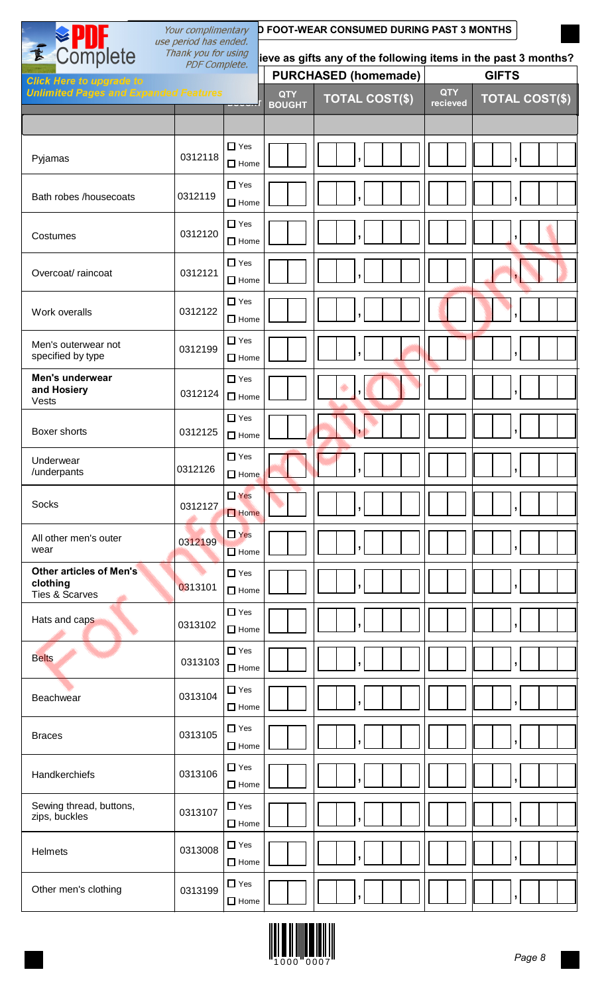| Your complimentary<br><b>D FOOT-WEAR CONSUMED DURING PAST 3 MONTHS</b><br>use period has ended. |                      |                                    |                             |                                                                |                        |                          |
|-------------------------------------------------------------------------------------------------|----------------------|------------------------------------|-----------------------------|----------------------------------------------------------------|------------------------|--------------------------|
| E Complete                                                                                      | Thank you for using  |                                    |                             | ieve as gifts any of the following items in the past 3 months? |                        |                          |
| <b>Click Here to upgrade to</b>                                                                 | <b>PDF Complete.</b> |                                    |                             | <b>PURCHASED (homemade)</b>                                    |                        | <b>GIFTS</b>             |
| <b>Unlimited Pages and Expanded Features</b>                                                    |                      | $\sim$ $\sim$ $\sim$ $\sim$ $\sim$ | <b>QTY</b><br><b>BOUGHT</b> | <b>TOTAL COST(\$)</b>                                          | <b>QTY</b><br>recieved | <b>TOTAL COST(\$)</b>    |
|                                                                                                 |                      |                                    |                             |                                                                |                        |                          |
| Pyjamas                                                                                         | 0312118              | $\Box$ Yes<br>$\Box$ Home          |                             |                                                                |                        |                          |
| Bath robes /housecoats                                                                          | 0312119              | $\Box$ Yes<br>$\Box$ Home          |                             |                                                                |                        |                          |
| Costumes                                                                                        | 0312120              | $\Box$ Yes<br>$\Box$ Home          |                             |                                                                |                        |                          |
| Overcoat/raincoat                                                                               | 0312121              | $\Box$ Yes<br>$\Box$ Home          |                             |                                                                |                        |                          |
| Work overalls                                                                                   | 0312122              | $\Box$ Yes<br>$\Box$ Home          |                             |                                                                |                        |                          |
| Men's outerwear not<br>specified by type                                                        | 0312199              | $\Box$ Yes<br>$\Box$ Home          |                             |                                                                |                        |                          |
| Men's underwear<br>and Hosiery<br>Vests                                                         | 0312124              | $\Box$ Yes<br>$\Box$ Home          |                             |                                                                |                        |                          |
| Boxer shorts                                                                                    | 0312125              | $\Box$ Yes<br>$\Box$ Home          |                             |                                                                |                        |                          |
| Underwear<br>/underpants                                                                        | 0312126              | $\Box$ Yes<br>$\Box$ Home          |                             | $\overline{ }$                                                 |                        | $\overline{\phantom{a}}$ |
| Socks                                                                                           | 0312127              | $\Box$ Yes<br>$\Box$ Home          |                             |                                                                |                        |                          |
| All other men's outer<br>wear                                                                   | 0312199              | $\Box$ Yes<br>$\Box$ Home          |                             |                                                                |                        |                          |
| <b>Other articles of Men's</b><br>clothing<br><b>Ties &amp; Scarves</b>                         | 0313101              | $\Box$ Yes<br>$\Box$ Home          |                             |                                                                |                        |                          |
| Hats and caps                                                                                   | 0313102              | $\Box$ Yes<br>$\Box$ Home          |                             |                                                                |                        |                          |
| <b>Belts</b>                                                                                    | 0313103              | $\Box$ Yes<br>$\Box$ Home          |                             |                                                                |                        | J                        |
| Beachwear                                                                                       | 0313104              | $\Box$ Yes<br>$\Box$ Home          |                             |                                                                |                        | J                        |
| <b>Braces</b>                                                                                   | 0313105              | $\Box$ Yes<br>$\Box$ Home          |                             |                                                                |                        | ŋ                        |
| Handkerchiefs                                                                                   | 0313106              | $\Box$ Yes<br>$\Box$ Home          |                             |                                                                |                        |                          |
| Sewing thread, buttons,<br>zips, buckles                                                        | 0313107              | $\Box$ Yes<br>$\Box$ Home          |                             |                                                                |                        | $\overline{\phantom{a}}$ |
| Helmets                                                                                         | 0313008              | $\Box$ Yes<br>$\Box$ Home          |                             |                                                                |                        |                          |
| Other men's clothing                                                                            | 0313199              | $\Box$ Yes<br>$\Box$ Home          |                             |                                                                |                        | $\overline{\phantom{a}}$ |



1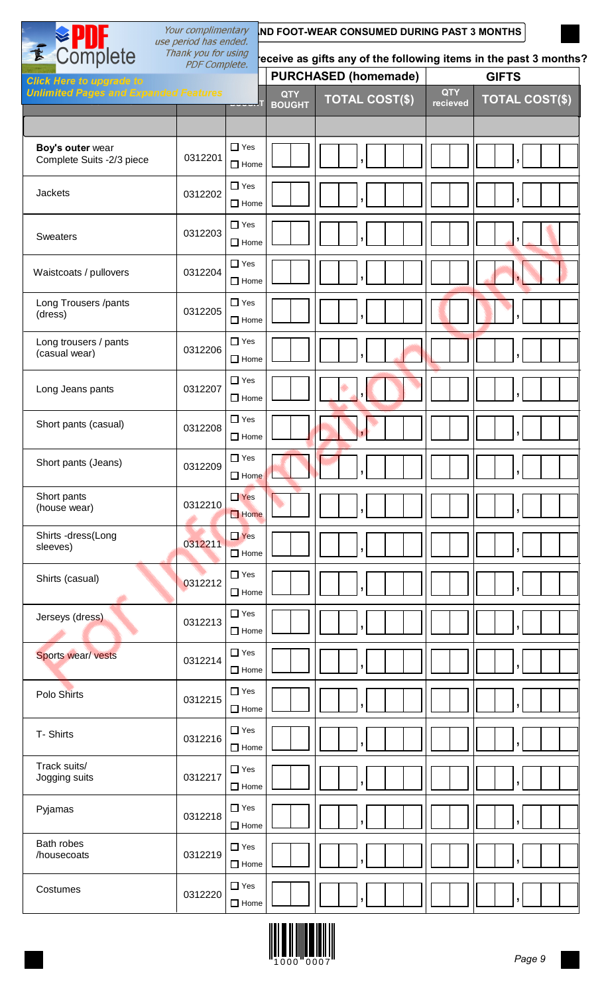|                                                              | Your complimentary<br>use period has ended. |                           |                                                                  | <b>ND FOOT-WEAR CONSUMED DURING PAST 3 MONTHS</b> |                        |                          |  |
|--------------------------------------------------------------|---------------------------------------------|---------------------------|------------------------------------------------------------------|---------------------------------------------------|------------------------|--------------------------|--|
| Complete<br>E<br>Thank you for using<br><b>PDF Complete.</b> |                                             |                           | eceive as gifts any of the following items in the past 3 months? |                                                   |                        |                          |  |
| <b>Click Here to upgrade to</b>                              |                                             |                           |                                                                  | <b>PURCHASED (homemade)</b>                       |                        | <b>GIFTS</b>             |  |
| <b>Unlimited Pages and Expanded Features</b>                 |                                             | <u>uvvvnl</u>             | <b>QTY</b><br><b>BOUGHT</b>                                      | <b>TOTAL COST(\$)</b>                             | <b>QTY</b><br>recieved | <b>TOTAL COST(\$)</b>    |  |
|                                                              |                                             |                           |                                                                  |                                                   |                        |                          |  |
| Boy's outer wear<br>Complete Suits -2/3 piece                | 0312201                                     | $\Box$ Yes<br>$\Box$ Home |                                                                  |                                                   |                        |                          |  |
| Jackets                                                      | 0312202                                     | $\Box$ Yes<br>$\Box$ Home |                                                                  |                                                   |                        |                          |  |
| <b>Sweaters</b>                                              | 0312203                                     | $\Box$ Yes<br>$\Box$ Home |                                                                  |                                                   |                        |                          |  |
| Waistcoats / pullovers                                       | 0312204                                     | $\Box$ Yes<br>$\Box$ Home |                                                                  |                                                   |                        |                          |  |
| Long Trousers /pants<br>(dress)                              | 0312205                                     | $\Box$ Yes<br>$\Box$ Home |                                                                  |                                                   |                        |                          |  |
| Long trousers / pants<br>(casual wear)                       | 0312206                                     | $\Box$ Yes<br>$\Box$ Home |                                                                  |                                                   |                        |                          |  |
| Long Jeans pants                                             | 0312207                                     | $\Box$ Yes<br>$\Box$ Home |                                                                  |                                                   |                        |                          |  |
| Short pants (casual)                                         | 0312208                                     | $\Box$ Yes<br>$\Box$ Home |                                                                  |                                                   |                        |                          |  |
| Short pants (Jeans)                                          | 0312209                                     | $\Box$ Yes<br>$\Box$ Home |                                                                  | $\overline{ }$                                    |                        | $\overline{\phantom{a}}$ |  |
| Short pants<br>(house wear)                                  | 0312210                                     | $\Box$ Yes<br>$\Box$ Home |                                                                  |                                                   |                        |                          |  |
| Shirts -dress(Long<br>sleeves)                               | 0312211                                     | $\Box$ Yes<br>$\Box$ Home |                                                                  |                                                   |                        |                          |  |
| Shirts (casual)                                              | 0312212                                     | $\Box$ Yes<br>$\Box$ Home |                                                                  |                                                   |                        | ,                        |  |
| Jerseys (dress)                                              | 0312213                                     | $\Box$ Yes<br>$\Box$ Home |                                                                  |                                                   |                        |                          |  |
| Sports wear/ vests                                           | 0312214                                     | $\Box$ Yes<br>$\Box$ Home |                                                                  |                                                   |                        | ŋ                        |  |
| Polo Shirts                                                  | 0312215                                     | $\Box$ Yes<br>$\Box$ Home |                                                                  |                                                   |                        |                          |  |
| T-Shirts                                                     | 0312216                                     | $\Box$ Yes<br>$\Box$ Home |                                                                  |                                                   |                        | y                        |  |
| Track suits/<br>Jogging suits                                | 0312217                                     | $\Box$ Yes<br>$\Box$ Home |                                                                  |                                                   |                        | ŋ                        |  |
| Pyjamas                                                      | 0312218                                     | $\Box$ Yes<br>$\Box$ Home |                                                                  |                                                   |                        |                          |  |
| Bath robes<br>/housecoats                                    | 0312219                                     | $\Box$ Yes<br>$\Box$ Home |                                                                  |                                                   |                        | ŋ                        |  |
| Costumes                                                     | 0312220                                     | $\Box$ Yes<br>$\Box$ Home |                                                                  |                                                   |                        |                          |  |

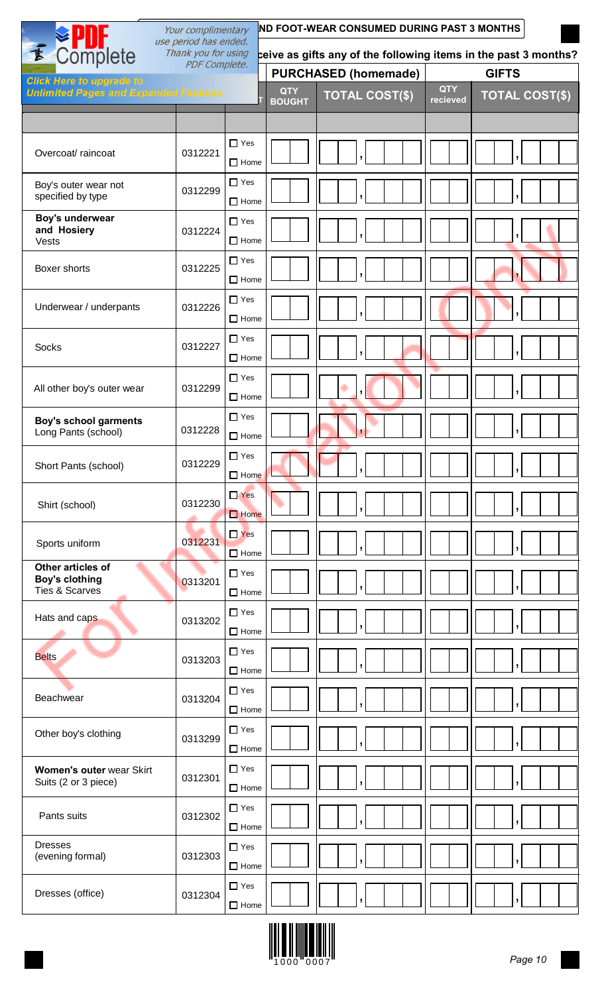|                                                              | <b>ND FOOT-WEAR CONSUMED DURING PAST 3 MONTHS</b><br>Your complimentary<br>use period has ended. |                           |                             |                                                                 |                        |                       |
|--------------------------------------------------------------|--------------------------------------------------------------------------------------------------|---------------------------|-----------------------------|-----------------------------------------------------------------|------------------------|-----------------------|
| E Complete                                                   | Thank you for using                                                                              |                           |                             | ceive as gifts any of the following items in the past 3 months? |                        |                       |
| <b>Click Here to upgrade to</b>                              | <b>PDF Complete.</b>                                                                             |                           |                             | <b>PURCHASED (homemade)</b>                                     |                        | <b>GIFTS</b>          |
| <b>Unlimited Pages and Expanded Features</b>                 |                                                                                                  |                           | <b>QTY</b><br><b>BOUGHT</b> | <b>TOTAL COST(\$)</b>                                           | <b>QTY</b><br>recieved | <b>TOTAL COST(\$)</b> |
|                                                              |                                                                                                  |                           |                             |                                                                 |                        |                       |
| Overcoat/raincoat                                            | 0312221                                                                                          | $\Box$ Yes<br>$\Box$ Home |                             |                                                                 |                        |                       |
| Boy's outer wear not<br>specified by type                    | 0312299                                                                                          | $\Box$ Yes<br>$\Box$ Home |                             |                                                                 |                        |                       |
| Boy's underwear<br>and Hosiery<br>Vests                      | 0312224                                                                                          | $\Box$ Yes<br>$\Box$ Home |                             |                                                                 |                        |                       |
| Boxer shorts                                                 | 0312225                                                                                          | $\Box$ Yes<br>$\Box$ Home |                             |                                                                 |                        |                       |
| Underwear / underpants                                       | 0312226                                                                                          | $\Box$ Yes<br>$\Box$ Home |                             |                                                                 |                        |                       |
| <b>Socks</b>                                                 | 0312227                                                                                          | $\Box$ Yes<br>$\Box$ Home |                             |                                                                 |                        |                       |
| All other boy's outer wear                                   | 0312299                                                                                          | $\Box$ Yes<br>$\Box$ Home |                             |                                                                 |                        |                       |
| <b>Boy's school garments</b><br>Long Pants (school)          | 0312228                                                                                          | $\Box$ Yes<br>$\Box$ Home |                             |                                                                 |                        |                       |
| Short Pants (school)                                         | 0312229                                                                                          | $\Box$ Yes<br>$\Box$ Home |                             |                                                                 |                        |                       |
| Shirt (school)                                               | 0312230                                                                                          | $\Box$ Yes<br>$\Box$ Home |                             |                                                                 |                        | ,                     |
| Sports uniform                                               | 0312231                                                                                          | $\Box$ Yes<br>$\Box$ Home |                             |                                                                 |                        |                       |
| Other articles of<br><b>Boy's clothing</b><br>Ties & Scarves | 0313201                                                                                          | $\Box$ Yes<br>$\Box$ Home |                             |                                                                 |                        |                       |
| Hats and caps                                                | 0313202                                                                                          | $\Box$ Yes<br>$\Box$ Home |                             |                                                                 |                        | ŋ                     |
| <b>Belts</b>                                                 | 0313203                                                                                          | $\Box$ Yes<br>$\Box$ Home |                             |                                                                 |                        |                       |
| Beachwear                                                    | 0313204                                                                                          | $\Box$ Yes<br>$\Box$ Home |                             |                                                                 |                        |                       |
| Other boy's clothing                                         | 0313299                                                                                          | $\Box$ Yes<br>$\Box$ Home |                             |                                                                 |                        |                       |
| <b>Women's outer wear Skirt</b><br>Suits (2 or 3 piece)      | 0312301                                                                                          | $\Box$ Yes<br>$\Box$ Home |                             |                                                                 |                        |                       |
| Pants suits                                                  | 0312302                                                                                          | $\Box$ Yes<br>$\Box$ Home |                             |                                                                 |                        |                       |
| <b>Dresses</b><br>(evening formal)                           | 0312303                                                                                          | $\Box$ Yes<br>$\Box$ Home |                             | $\overline{\phantom{a}}$                                        |                        | $\mathbf{I}$          |
| Dresses (office)                                             | 0312304                                                                                          | $\Box$ Yes<br>$\Box$ Home |                             |                                                                 |                        |                       |

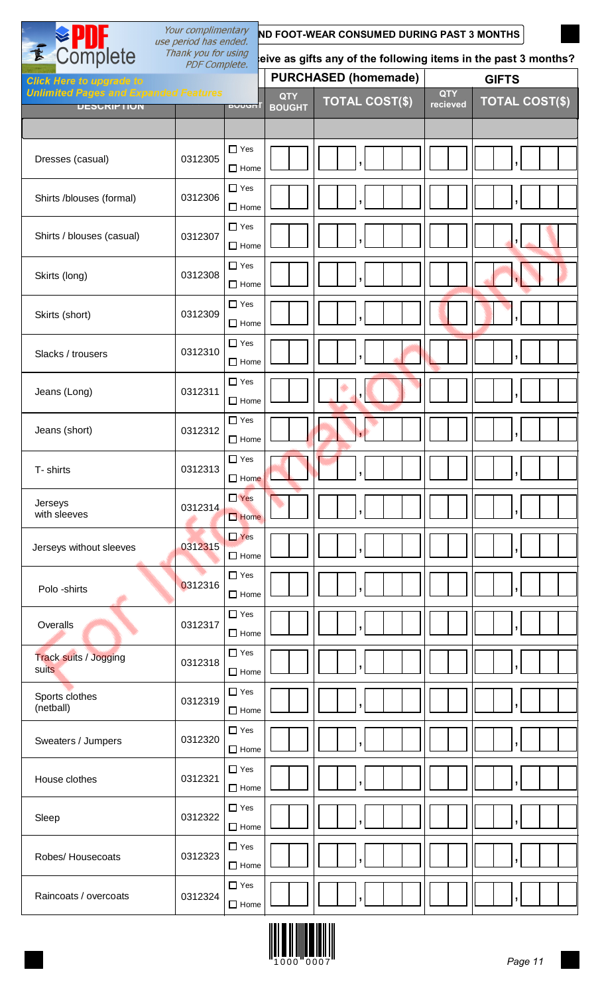|                                                                    | Your complimentary<br>ND FOOT-WEAR CONSUMED DURING PAST 3 MONTHS<br>use period has ended. |                           |                             |                                                                |                        |                       |
|--------------------------------------------------------------------|-------------------------------------------------------------------------------------------|---------------------------|-----------------------------|----------------------------------------------------------------|------------------------|-----------------------|
| Complete<br>$\mathbf{r}$                                           | Thank you for using<br><b>PDF Complete.</b>                                               |                           |                             | eive as gifts any of the following items in the past 3 months? |                        |                       |
| <b>Click Here to upgrade to</b>                                    |                                                                                           |                           |                             | <b>PURCHASED (homemade)</b>                                    |                        | <b>GIFTS</b>          |
| <b>Unlimited Pages and Expanded Features</b><br><b>UESURIPTIUN</b> |                                                                                           | <u>buuuni</u>             | <b>QTY</b><br><b>BOUGHT</b> | <b>TOTAL COST(\$)</b>                                          | <b>QTY</b><br>recieved | <b>TOTAL COST(\$)</b> |
|                                                                    |                                                                                           |                           |                             |                                                                |                        |                       |
|                                                                    |                                                                                           | $\Box$ Yes                |                             |                                                                |                        |                       |
| Dresses (casual)                                                   | 0312305                                                                                   | $\Box$ Home               |                             |                                                                |                        |                       |
| Shirts /blouses (formal)                                           | 0312306                                                                                   | $\Box$ Yes<br>$\Box$ Home |                             |                                                                |                        |                       |
| Shirts / blouses (casual)                                          | 0312307                                                                                   | $\Box$ Yes<br>$\Box$ Home |                             |                                                                |                        |                       |
| Skirts (long)                                                      | 0312308                                                                                   | $\Box$ Yes<br>$\Box$ Home |                             |                                                                |                        |                       |
| Skirts (short)                                                     | 0312309                                                                                   | $\Box$ Yes<br>$\Box$ Home |                             |                                                                |                        |                       |
| Slacks / trousers                                                  | 0312310                                                                                   | $\Box$ Yes<br>$\Box$ Home |                             |                                                                |                        |                       |
| Jeans (Long)                                                       | 0312311                                                                                   | $\Box$ Yes<br>$\Box$ Home |                             |                                                                |                        |                       |
| Jeans (short)                                                      | 0312312                                                                                   | $\Box$ Yes<br>$\Box$ Home |                             |                                                                |                        |                       |
| T- shirts                                                          | 0312313                                                                                   | $\Box$ Yes<br>$\Box$ Home |                             | Ō.                                                             |                        | $\mathbf{I}$          |
| Jerseys<br>with sleeves                                            | 0312314                                                                                   | $\Box$ Yes<br>$\Box$ Home |                             |                                                                |                        |                       |
| Jerseys without sleeves                                            | 0312315                                                                                   | $\Box$ Yes<br>$\Box$ Home |                             |                                                                |                        |                       |
| Polo -shirts                                                       | 0312316                                                                                   | $\Box$ Yes<br>$\Box$ Home |                             |                                                                |                        |                       |
| Overalls                                                           | 0312317                                                                                   | $\Box$ Yes<br>$\Box$ Home |                             |                                                                |                        |                       |
| <b>Track suits / Jogging</b><br>suits                              | 0312318                                                                                   | $\Box$ Yes<br>$\Box$ Home |                             |                                                                |                        |                       |
| Sports clothes<br>(netball)                                        | 0312319                                                                                   | $\Box$ Yes<br>$\Box$ Home |                             |                                                                |                        |                       |
| Sweaters / Jumpers                                                 | 0312320                                                                                   | $\Box$ Yes<br>$\Box$ Home |                             |                                                                |                        |                       |
| House clothes                                                      | 0312321                                                                                   | $\Box$ Yes<br>$\Box$ Home |                             |                                                                |                        |                       |
| Sleep                                                              | 0312322                                                                                   | $\Box$ Yes<br>$\Box$ Home |                             |                                                                |                        |                       |
| Robes/ Housecoats                                                  | 0312323                                                                                   | $\Box$ Yes<br>$\Box$ Home |                             |                                                                |                        |                       |
| Raincoats / overcoats                                              | 0312324                                                                                   | $\Box$ Yes<br>$\Box$ Home |                             |                                                                |                        |                       |

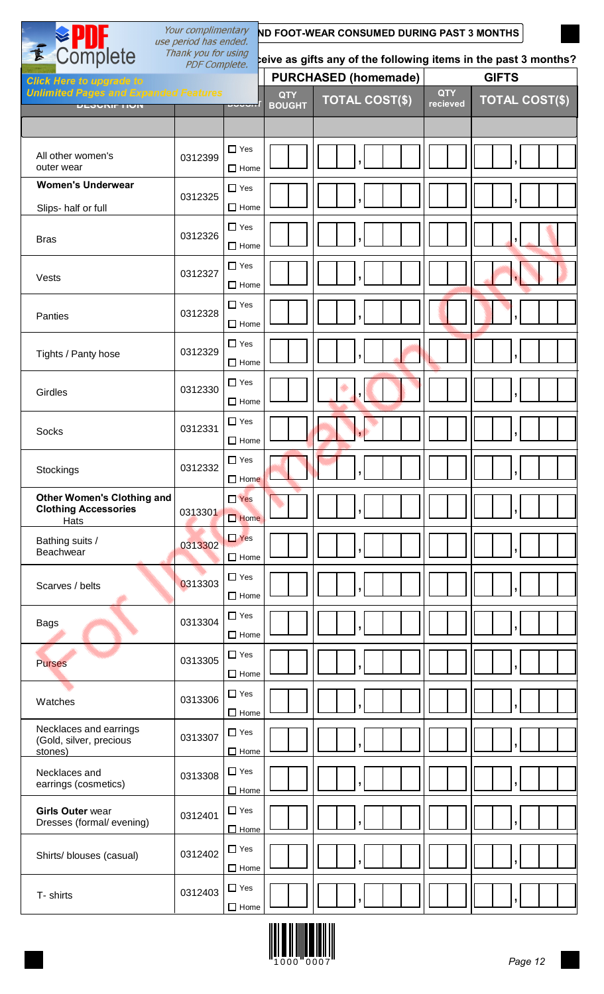| Your complimentary<br>ND FOOT-WEAR CONSUMED DURING PAST 3 MONTHS<br>use period has ended. |                                             |                           |                             |                                                                 |                        |                       |
|-------------------------------------------------------------------------------------------|---------------------------------------------|---------------------------|-----------------------------|-----------------------------------------------------------------|------------------------|-----------------------|
| <b>≫ PUF</b><br>Complete                                                                  | Thank you for using<br><b>PDF Complete.</b> |                           |                             | teive as gifts any of the following items in the past 3 months? |                        |                       |
| <b>Click Here to upgrade to</b>                                                           |                                             |                           |                             | <b>PURCHASED (homemade)</b>                                     |                        | <b>GIFTS</b>          |
| <b>Unlimited Pages and Expanded Features</b><br><b>ULJUNIF HUIT</b>                       |                                             | boounl                    | <b>QTY</b><br><b>BOUGHT</b> | <b>TOTAL COST(\$)</b>                                           | <b>QTY</b><br>recieved | <b>TOTAL COST(\$)</b> |
|                                                                                           |                                             |                           |                             |                                                                 |                        |                       |
| All other women's<br>outer wear                                                           | 0312399                                     | $\Box$ Yes<br>$\Box$ Home |                             |                                                                 |                        |                       |
| <b>Women's Underwear</b>                                                                  | 0312325                                     | $\Box$ Yes                |                             |                                                                 |                        |                       |
| Slips- half or full                                                                       |                                             | $\Box$ Home               |                             |                                                                 |                        |                       |
| <b>Bras</b>                                                                               | 0312326                                     | $\Box$ Yes<br>$\Box$ Home |                             |                                                                 |                        |                       |
| Vests                                                                                     | 0312327                                     | $\Box$ Yes<br>$\Box$ Home |                             |                                                                 |                        |                       |
| Panties                                                                                   | 0312328                                     | $\Box$ Yes<br>$\Box$ Home |                             |                                                                 |                        |                       |
| Tights / Panty hose                                                                       | 0312329                                     | $\Box$ Yes<br>$\Box$ Home |                             |                                                                 |                        |                       |
| Girdles                                                                                   | 0312330                                     | $\Box$ Yes<br>$\Box$ Home |                             |                                                                 |                        |                       |
| Socks                                                                                     | 0312331                                     | $\Box$ Yes<br>$\Box$ Home |                             |                                                                 |                        |                       |
| Stockings                                                                                 | 0312332                                     | $\Box$ Yes<br>$\Box$ Home |                             |                                                                 |                        |                       |
| <b>Other Women's Clothing and</b><br><b>Clothing Accessories</b><br>Hats                  | 0313301                                     | $\Box$ Yes<br>$\Box$ Home |                             |                                                                 |                        |                       |
| Bathing suits /<br>Beachwear                                                              | 0313302                                     | $\Box$ Yes<br>$\Box$ Home |                             |                                                                 |                        |                       |
| Scarves / belts                                                                           | 0313303                                     | $\Box$ Yes<br>$\Box$ Home |                             |                                                                 |                        |                       |
| <b>Bags</b>                                                                               | 0313304                                     | $\Box$ Yes<br>$\Box$ Home |                             |                                                                 |                        |                       |
| <b>Purses</b>                                                                             | 0313305                                     | $\Box$ Yes<br>$\Box$ Home |                             |                                                                 |                        |                       |
| Watches                                                                                   | 0313306                                     | $\Box$ Yes<br>$\Box$ Home |                             |                                                                 |                        |                       |
| Necklaces and earrings<br>(Gold, silver, precious<br>stones)                              | 0313307                                     | $\Box$ Yes<br>$\Box$ Home |                             |                                                                 |                        |                       |
| Necklaces and<br>earrings (cosmetics)                                                     | 0313308                                     | $\Box$ Yes<br>$\Box$ Home |                             |                                                                 |                        | $\mathbf{I}$          |
| <b>Girls Outer wear</b><br>Dresses (formal/evening)                                       | 0312401                                     | $\Box$ Yes<br>$\Box$ Home |                             |                                                                 |                        | J,                    |
| Shirts/ blouses (casual)                                                                  | 0312402                                     | $\Box$ Yes<br>$\Box$ Home |                             |                                                                 |                        |                       |
| T- shirts                                                                                 | 0312403                                     | $\Box$ Yes<br>$\Box$ Home |                             |                                                                 |                        |                       |

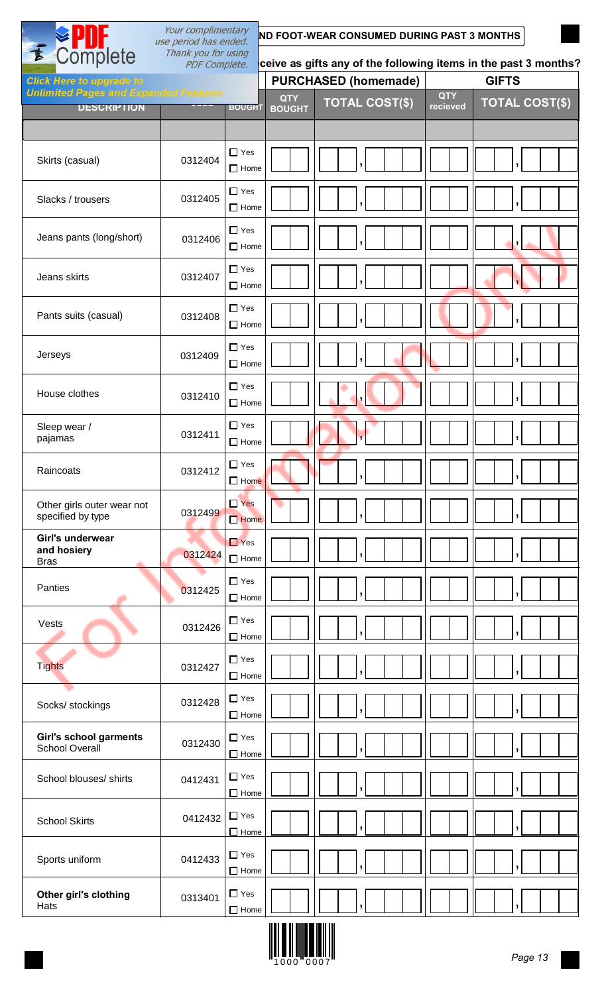|                                                                                 | Your complimentary<br>use period has ended. |                           |                                                                 | ND FOOT-WEAR CONSUMED DURING PAST 3 MONTHS |                        |                       |  |  |
|---------------------------------------------------------------------------------|---------------------------------------------|---------------------------|-----------------------------------------------------------------|--------------------------------------------|------------------------|-----------------------|--|--|
| E Complete                                                                      | Thank you for using<br><b>PDF Complete.</b> |                           | ceive as gifts any of the following items in the past 3 months? |                                            |                        |                       |  |  |
| <b>Click Here to upgrade to</b><br><b>Unlimited Pages and Expanded Features</b> |                                             |                           |                                                                 | <b>PURCHASED (homemade)</b>                |                        | <b>GIFTS</b>          |  |  |
| <b>DESCRIPTION</b>                                                              | $\overline{\phantom{a}}$                    | <b>BOUGHT</b>             | <b>QTY</b><br><b>BOUGHT</b>                                     | <b>TOTAL COST(\$)</b>                      | <b>QTY</b><br>recieved | <b>TOTAL COST(\$)</b> |  |  |
| Skirts (casual)                                                                 | 0312404                                     | $\Box$ Yes<br>$\Box$ Home |                                                                 |                                            |                        |                       |  |  |
| Slacks / trousers                                                               | 0312405                                     | $\Box$ Yes<br>$\Box$ Home |                                                                 |                                            |                        |                       |  |  |
| Jeans pants (long/short)                                                        | 0312406                                     | $\Box$ Yes<br>$\Box$ Home |                                                                 |                                            |                        |                       |  |  |
| Jeans skirts                                                                    | 0312407                                     | $\Box$ Yes<br>$\Box$ Home |                                                                 |                                            |                        |                       |  |  |
| Pants suits (casual)                                                            | 0312408                                     | $\Box$ Yes<br>$\Box$ Home |                                                                 |                                            |                        |                       |  |  |
| Jerseys                                                                         | 0312409                                     | $\Box$ Yes<br>$\Box$ Home |                                                                 |                                            |                        |                       |  |  |
| House clothes                                                                   | 0312410                                     | $\Box$ Yes<br>$\Box$ Home |                                                                 |                                            |                        |                       |  |  |
| Sleep wear /<br>pajamas                                                         | 0312411                                     | $\Box$ Yes<br>$\Box$ Home |                                                                 |                                            |                        |                       |  |  |
| Raincoats                                                                       | 0312412                                     | $\Box$ Yes<br>$\Box$ Home |                                                                 |                                            |                        |                       |  |  |
| Other girls outer wear not<br>specified by type                                 | 0312499                                     | $\Box$ Yes<br>$\Box$ Home |                                                                 |                                            |                        |                       |  |  |
| Girl's underwear<br>and hosiery<br><b>Bras</b>                                  | 0312424                                     | $\Box$ Yes<br>$\Box$ Home |                                                                 |                                            |                        |                       |  |  |
| Panties                                                                         | 0312425                                     | $\Box$ Yes<br>$\Box$ Home |                                                                 |                                            |                        |                       |  |  |
| Vests                                                                           | 0312426                                     | $\Box$ Yes<br>$\Box$ Home |                                                                 | $\overline{ }$                             |                        | $\overline{ }$        |  |  |
| <b>Tights</b>                                                                   | 0312427                                     | $\Box$ Yes<br>$\Box$ Home |                                                                 |                                            |                        | ,                     |  |  |
| Socks/ stockings                                                                | 0312428                                     | $\Box$ Yes<br>$\Box$ Home |                                                                 |                                            |                        |                       |  |  |
| Girl's school garments<br><b>School Overall</b>                                 | 0312430                                     | $\Box$ Yes<br>$\Box$ Home |                                                                 |                                            |                        |                       |  |  |
| School blouses/ shirts                                                          | 0412431                                     | $\Box$ Yes<br>$\Box$ Home |                                                                 |                                            |                        |                       |  |  |
| <b>School Skirts</b>                                                            | 0412432                                     | $\Box$ Yes<br>$\Box$ Home |                                                                 |                                            |                        |                       |  |  |
| Sports uniform                                                                  | 0412433                                     | $\Box$ Yes<br>$\Box$ Home |                                                                 | 7                                          |                        | ŋ                     |  |  |
| Other girl's clothing<br>Hats                                                   | 0313401                                     | $\Box$ Yes                | $\Box$ Home $\Box$                                              |                                            |                        |                       |  |  |

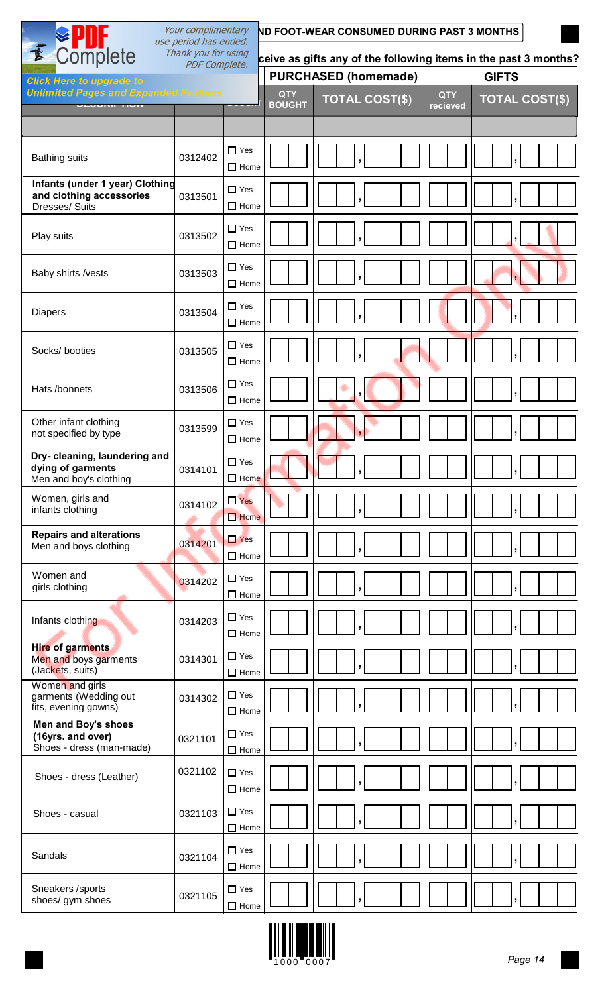|                                                                               | Your complimentary                                                                        | ND FOOT-WEAR CONSUMED DURING PAST 3 MONTHS |                             |                                                                 |                        |                       |  |  |  |
|-------------------------------------------------------------------------------|-------------------------------------------------------------------------------------------|--------------------------------------------|-----------------------------|-----------------------------------------------------------------|------------------------|-----------------------|--|--|--|
|                                                                               | SPID-<br>Complete<br>use period has ended.<br>Thank you for using<br><b>PDF Complete.</b> |                                            |                             | ceive as gifts any of the following items in the past 3 months? |                        |                       |  |  |  |
| <b>Click Here to upgrade to</b>                                               |                                                                                           |                                            |                             | <b>PURCHASED (homemade)</b>                                     |                        | <b>GIFTS</b>          |  |  |  |
| <b>Unlimited Pages and Expanded Features</b><br><b>ULUVINIE TIUIT</b>         |                                                                                           | $\sim$ $\sim$ $\sim$ $\sim$                | <b>QTY</b><br><b>BOUGHT</b> | <b>TOTAL COST(\$)</b>                                           | <b>QTY</b><br>recieved | <b>TOTAL COST(\$)</b> |  |  |  |
|                                                                               |                                                                                           |                                            |                             |                                                                 |                        |                       |  |  |  |
| <b>Bathing suits</b>                                                          | 0312402                                                                                   | $\Box$ Yes<br>$\Box$ Home                  |                             |                                                                 |                        |                       |  |  |  |
| Infants (under 1 year) Clothing<br>and clothing accessories<br>Dresses/ Suits | 0313501                                                                                   | $\Box$ Yes<br>$\Box$ Home                  |                             |                                                                 |                        |                       |  |  |  |
| Play suits                                                                    | 0313502                                                                                   | $\Box$ Yes<br>$\Box$ Home                  |                             |                                                                 |                        |                       |  |  |  |
| Baby shirts /vests                                                            | 0313503                                                                                   | $\Box$ Yes<br>$\Box$ Home                  |                             |                                                                 |                        |                       |  |  |  |
| <b>Diapers</b>                                                                | 0313504                                                                                   | $\Box$ Yes<br>$\Box$ Home                  |                             |                                                                 |                        |                       |  |  |  |
| Socks/ booties                                                                | 0313505                                                                                   | $\Box$ Yes<br>$\Box$ Home                  |                             |                                                                 |                        |                       |  |  |  |
| Hats /bonnets                                                                 | 0313506                                                                                   | $\Box$ Yes<br>$\Box$ Home                  |                             |                                                                 |                        |                       |  |  |  |
| Other infant clothing<br>not specified by type                                | 0313599                                                                                   | $\Box$ Yes<br>$\Box$ Home                  |                             |                                                                 |                        |                       |  |  |  |
| Dry-cleaning, laundering and<br>dying of garments<br>Men and boy's clothing   | 0314101                                                                                   | $\Box$ Yes<br>$\Box$ Home                  |                             |                                                                 |                        |                       |  |  |  |
| Women, girls and<br>infants clothing                                          | 0314102                                                                                   | $\Box$ Yes<br>$\Box$ Home                  |                             |                                                                 |                        |                       |  |  |  |
| <b>Repairs and alterations</b><br>Men and boys clothing                       | 0314201                                                                                   | $\Box$ Yes<br>$\Box$ Home                  |                             |                                                                 |                        |                       |  |  |  |
| Women and<br>girls clothing                                                   | 0314202                                                                                   | $\Box$ Yes<br>$\Box$ Home                  |                             |                                                                 |                        |                       |  |  |  |
| Infants clothing                                                              | 0314203                                                                                   | $\Box$ Yes<br>$\Box$ Home                  |                             | ,                                                               |                        |                       |  |  |  |
| <b>Hire of garments</b><br>Men and boys garments<br>(Jackets, suits)          | 0314301                                                                                   | $\Box$ Yes<br>$\Box$ Home                  |                             |                                                                 |                        |                       |  |  |  |
| Women and girls<br>garments (Wedding out<br>fits, evening gowns)              | 0314302                                                                                   | $\Box$ Yes<br>$\Box$ Home                  |                             |                                                                 |                        |                       |  |  |  |
| Men and Boy's shoes<br>(16yrs. and over)<br>Shoes - dress (man-made)          | 0321101                                                                                   | $\Box$ Yes<br>$\Box$ Home                  |                             |                                                                 |                        |                       |  |  |  |
| Shoes - dress (Leather)                                                       | 0321102                                                                                   | $\Box$ Yes<br>$\Box$ Home                  |                             | $\overline{ }$                                                  |                        | J                     |  |  |  |
| Shoes - casual                                                                | 0321103                                                                                   | $\Box$ Yes<br>$\Box$ Home                  |                             | $\overline{\phantom{a}}$                                        |                        |                       |  |  |  |
| Sandals                                                                       | 0321104                                                                                   | $\Box$ Yes<br>$\Box$ Home                  |                             |                                                                 |                        |                       |  |  |  |
| Sneakers /sports<br>shoes/ gym shoes                                          | 0321105                                                                                   | $\Box$ Yes<br>$\Box$ Home                  |                             | ,                                                               |                        | л.                    |  |  |  |

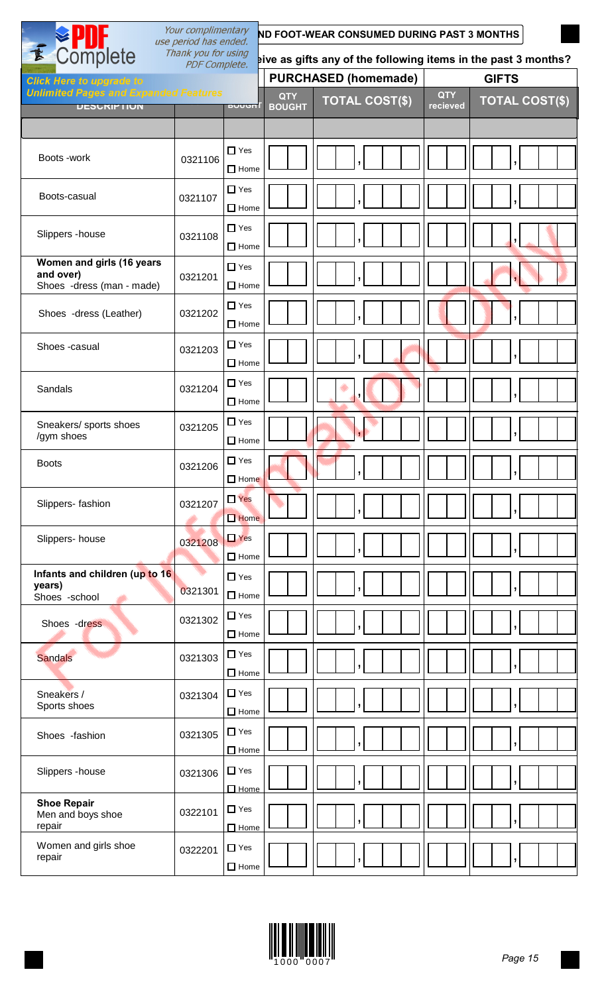| Your complimentary<br>use period has ended.                         | ND FOOT-WEAR CONSUMED DURING PAST 3 MONTHS  |                           |                             |                             |                                                                |                       |  |
|---------------------------------------------------------------------|---------------------------------------------|---------------------------|-----------------------------|-----------------------------|----------------------------------------------------------------|-----------------------|--|
| Complete                                                            | Thank you for using<br><b>PDF Complete.</b> |                           |                             |                             | aive as gifts any of the following items in the past 3 months? |                       |  |
| <b>Click Here to upgrade to</b>                                     |                                             |                           |                             | <b>PURCHASED (homemade)</b> |                                                                | <b>GIFTS</b>          |  |
| <b>Unlimited Pages and Expanded Features</b><br><b>UESURIPTIUN</b>  |                                             | <b>BUUGHT</b>             | <b>QTY</b><br><b>BOUGHT</b> | <b>TOTAL COST(\$)</b>       | <b>QTY</b><br>recieved                                         | <b>TOTAL COST(\$)</b> |  |
|                                                                     |                                             |                           |                             |                             |                                                                |                       |  |
| Boots -work                                                         |                                             | $\Box$ Yes                |                             |                             |                                                                |                       |  |
|                                                                     | 0321106                                     | $\Box$ Home               |                             |                             |                                                                |                       |  |
| Boots-casual                                                        | 0321107                                     | $\Box$ Yes<br>$\Box$ Home |                             |                             |                                                                |                       |  |
| Slippers - house                                                    | 0321108                                     | $\Box$ Yes<br>$\Box$ Home |                             |                             |                                                                |                       |  |
| Women and girls (16 years<br>and over)<br>Shoes -dress (man - made) | 0321201                                     | $\Box$ Yes<br>$\Box$ Home |                             |                             |                                                                |                       |  |
| Shoes -dress (Leather)                                              | 0321202                                     | $\Box$ Yes<br>$\Box$ Home |                             |                             |                                                                |                       |  |
| Shoes -casual                                                       | 0321203                                     | $\Box$ Yes<br>$\Box$ Home |                             |                             |                                                                |                       |  |
| Sandals                                                             | 0321204                                     | $\Box$ Yes<br>$\Box$ Home |                             |                             |                                                                |                       |  |
| Sneakers/ sports shoes<br>/gym shoes                                | 0321205                                     | $\Box$ Yes<br>$\Box$ Home |                             |                             |                                                                |                       |  |
| <b>Boots</b>                                                        | 0321206                                     | $\Box$ Yes<br>$\Box$ Home |                             |                             |                                                                | J                     |  |
| Slippers- fashion                                                   | 0321207                                     | $\Box$ Yes<br>$\Box$ Home |                             |                             |                                                                |                       |  |
| Slippers- house                                                     | 0321208                                     | $\Box$ Yes<br>$\Box$ Home |                             |                             |                                                                |                       |  |
| Infants and children (up to 16<br>years)<br>Shoes -school           | 0321301                                     | $\Box$ Yes<br>$\Box$ Home |                             |                             |                                                                |                       |  |
| Shoes -dress                                                        | 0321302                                     | $\Box$ Yes<br>$\Box$ Home |                             |                             |                                                                |                       |  |
| <b>Sandals</b>                                                      | 0321303                                     | $\Box$ Yes<br>$\Box$ Home |                             |                             |                                                                |                       |  |
| Sneakers /<br>Sports shoes                                          | 0321304                                     | $\Box$ Yes<br>$\Box$ Home |                             |                             |                                                                |                       |  |
| Shoes -fashion                                                      | 0321305                                     | $\Box$ Yes<br>$\Box$ Home |                             |                             |                                                                |                       |  |
| Slippers - house                                                    | 0321306                                     | $\Box$ Yes<br>$\Box$ Home |                             | $\overline{\phantom{a}}$    |                                                                | ,                     |  |
| <b>Shoe Repair</b><br>Men and boys shoe<br>repair                   | 0322101                                     | $\Box$ Yes<br>$\Box$ Home |                             | J                           |                                                                | y                     |  |
| Women and girls shoe<br>repair                                      | 0322201                                     | $\Box$ Yes<br>$\Box$ Home |                             |                             |                                                                |                       |  |

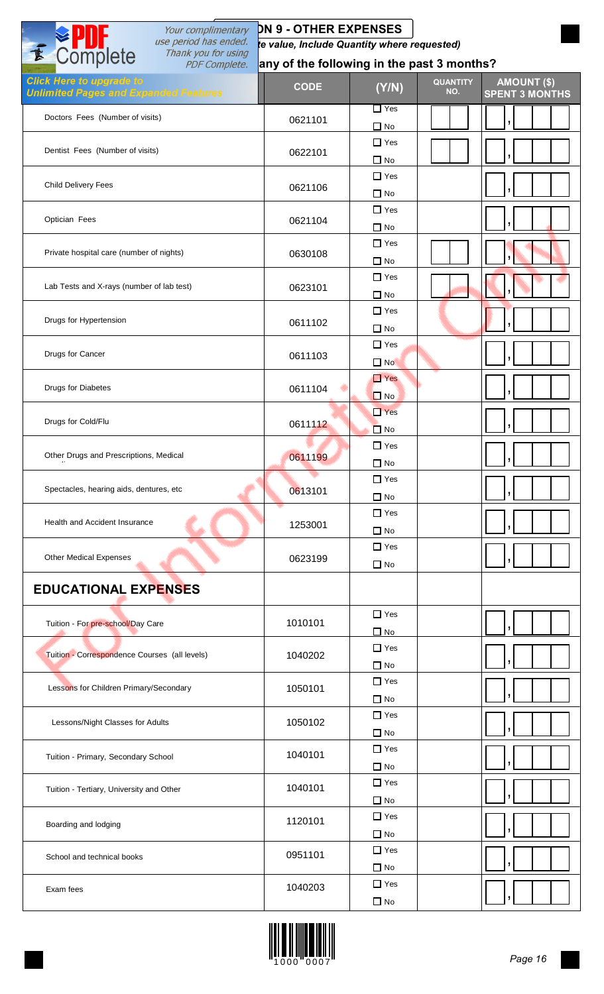| Your complimentary<br>E Complete<br>use period has ended.<br>Thank you for using | <b>DN 9 - OTHER EXPENSES</b><br>te value, Include Quantity where requested) |                            |                        |                                             |
|----------------------------------------------------------------------------------|-----------------------------------------------------------------------------|----------------------------|------------------------|---------------------------------------------|
| <b>PDF Complete.</b>                                                             | any of the following in the past 3 months?                                  |                            |                        |                                             |
| <b>Click Here to upgrade to</b><br><b>Unlimited Pages and Expanded Features</b>  | <b>CODE</b>                                                                 | (Y/N)                      | <b>QUANTITY</b><br>NO. | <b>AMOUNT (\$)</b><br><b>SPENT 3 MONTHS</b> |
| Doctors Fees (Number of visits)                                                  | 0621101                                                                     | $\Box$ Yes<br>$\square$ No |                        |                                             |
| Dentist Fees (Number of visits)                                                  | 0622101                                                                     | $\Box$ Yes<br>$\Box$ No    |                        |                                             |
| <b>Child Delivery Fees</b>                                                       | 0621106                                                                     | $\Box$ Yes<br>$\Box$ No    |                        |                                             |
| Optician Fees                                                                    | 0621104                                                                     | $\Box$ Yes<br>$\Box$ No    |                        |                                             |
| Private hospital care (number of nights)                                         | 0630108                                                                     | $\Box$ Yes<br>$\Box$ No    |                        |                                             |
| Lab Tests and X-rays (number of lab test)                                        | 0623101                                                                     | $\Box$ Yes<br>$\Box$ No    |                        |                                             |
| Drugs for Hypertension                                                           | 0611102                                                                     | $\Box$ Yes<br>$\Box$ No    |                        |                                             |
| Drugs for Cancer                                                                 | 0611103                                                                     | $\Box$ Yes<br>$\square$ No |                        |                                             |
| Drugs for Diabetes                                                               | 0611104                                                                     | $\Box$ Yes<br>$\Box$ No    |                        |                                             |
| Drugs for Cold/Flu                                                               | 0611112                                                                     | $\Box$ Yes<br>$\Box$ No    |                        |                                             |
| Other Drugs and Prescriptions, Medical                                           | 0611199                                                                     | $\Box$ Yes<br>$\Box$ No    |                        | ,                                           |
| Spectacles, hearing aids, dentures, etc                                          | 0613101                                                                     | $\Box$ Yes<br>$\Box$ No    |                        |                                             |
| Health and Accident Insurance                                                    | 1253001                                                                     | $\Box$ Yes<br>$\Box$ No    |                        |                                             |
| <b>Other Medical Expenses</b>                                                    | 0623199                                                                     | $\Box$ Yes<br>$\Box$ No    |                        |                                             |
| <b>EDUCATIONAL EXPENSES</b>                                                      |                                                                             |                            |                        |                                             |
| Tuition - For pre-school/Day Care                                                | 1010101                                                                     | $\Box$ Yes<br>$\Box$ No    |                        |                                             |
| Tuition - Correspondence Courses (all levels)                                    | 1040202                                                                     | $\Box$ Yes<br>$\Box$ No    |                        |                                             |
| Lessons for Children Primary/Secondary                                           | 1050101                                                                     | $\Box$ Yes<br>$\Box$ No    |                        |                                             |
| Lessons/Night Classes for Adults                                                 | 1050102                                                                     | $\Box$ Yes<br>$\Box$ No    |                        |                                             |
| Tuition - Primary, Secondary School                                              | 1040101                                                                     | $\Box$ Yes<br>$\Box$ No    |                        |                                             |
| Tuition - Tertiary, University and Other                                         | 1040101                                                                     | $\Box$ Yes<br>$\Box$ No    |                        |                                             |
| Boarding and lodging                                                             | 1120101                                                                     | $\Box$ Yes<br>$\Box$ No    |                        |                                             |
| School and technical books                                                       | 0951101                                                                     | $\Box$ Yes<br>$\Box$ No    |                        |                                             |
| Exam fees                                                                        | 1040203                                                                     | $\Box$ Yes<br>$\Box$ No.   |                        | ,                                           |

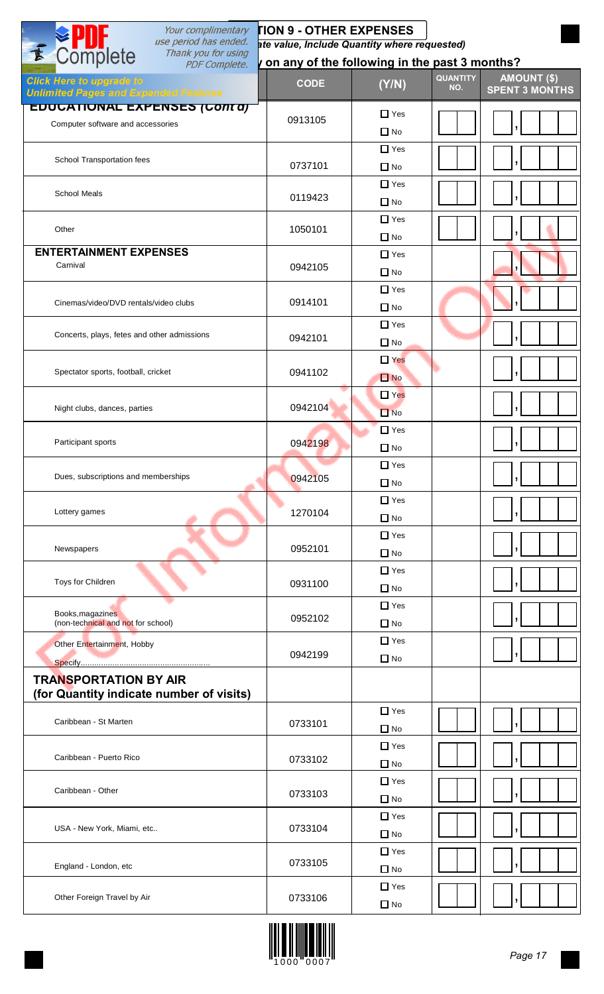| Your complimentary                                                              | <b>TION 9 - OTHER EXPENSES</b>               |                            |                                                                       |
|---------------------------------------------------------------------------------|----------------------------------------------|----------------------------|-----------------------------------------------------------------------|
| use period has ended.<br>Thank you for using                                    | ate value, Include Quantity where requested) |                            |                                                                       |
| E Complete<br><b>PDF Complete.</b>                                              |                                              |                            | on any of the following in the past 3 months?                         |
| <b>Click Here to upgrade to</b><br><b>Unlimited Pages and Expanded Features</b> | <b>CODE</b>                                  | (Y/N)                      | <b>QUANTITY</b><br><b>AMOUNT (\$)</b><br>NO.<br><b>SPENT 3 MONTHS</b> |
| EDUCATIONAL EXPENSES (CONTA)<br>Computer software and accessories               | 0913105                                      | $\Box$ Yes<br>$\Box$ No    |                                                                       |
| School Transportation fees                                                      |                                              | $\Box$ Yes                 |                                                                       |
| <b>School Meals</b>                                                             | 0737101                                      | $\Box$ No<br>$\Box$ Yes    |                                                                       |
|                                                                                 | 0119423                                      | $\Box$ No<br>$\Box$ Yes    |                                                                       |
| Other                                                                           | 1050101                                      | $\Box$ No                  |                                                                       |
| <b>ENTERTAINMENT EXPENSES</b><br>Carnival                                       | 0942105                                      | $\Box$ Yes<br>$\Box$ No    |                                                                       |
| Cinemas/video/DVD rentals/video clubs                                           | 0914101                                      | $\Box$ Yes<br>$\Box$ No    |                                                                       |
| Concerts, plays, fetes and other admissions                                     | 0942101                                      | $\Box$ Yes                 |                                                                       |
|                                                                                 |                                              | $\Box$ No<br>$\Box$ Yes    |                                                                       |
| Spectator sports, football, cricket                                             | 0941102                                      | $\square$ No<br>$\Box$ Yes |                                                                       |
| Night clubs, dances, parties                                                    | 0942104                                      | $\Box$ No<br>$\Box$ Yes    |                                                                       |
| Participant sports                                                              | 0942198                                      | $\Box$ No<br>$\Box$ Yes    |                                                                       |
| Dues, subscriptions and memberships                                             | 0942105                                      | $\Box$ No                  |                                                                       |
| Lottery games                                                                   | 1270104                                      | $\Box$ Yes<br>$\Box$ No    |                                                                       |
| Newspapers                                                                      | 0952101                                      | $\Box$ Yes<br>$\Box$ No    |                                                                       |
| Toys for Children                                                               | 0931100                                      | $\Box$ Yes<br>$\Box$ No    |                                                                       |
| Books, magazines<br>(non-technical and not for school)                          | 0952102                                      | $\Box$ Yes<br>$\Box$ No    |                                                                       |
| Other Entertainment, Hobby                                                      | 0942199                                      | $\Box$ Yes<br>$\Box$ No    |                                                                       |
| <b>TRANSPORTATION BY AIR</b>                                                    |                                              |                            |                                                                       |
| (for Quantity indicate number of visits)                                        |                                              |                            |                                                                       |
| Caribbean - St Marten                                                           | 0733101                                      | $\Box$ Yes<br>$\Box$ No    |                                                                       |
| Caribbean - Puerto Rico                                                         | 0733102                                      | $\Box$ Yes<br>$\Box$ No    |                                                                       |
| Caribbean - Other                                                               | 0733103                                      | $\Box$ Yes<br>$\Box$ No    |                                                                       |
| USA - New York, Miami, etc                                                      | 0733104                                      | $\Box$ Yes<br>$\Box$ No    |                                                                       |
| England - London, etc                                                           | 0733105                                      | $\Box$ Yes<br>$\Box$ No    |                                                                       |
| Other Foreign Travel by Air                                                     | 0733106                                      | $\Box$ Yes<br>$\Box$ No    |                                                                       |

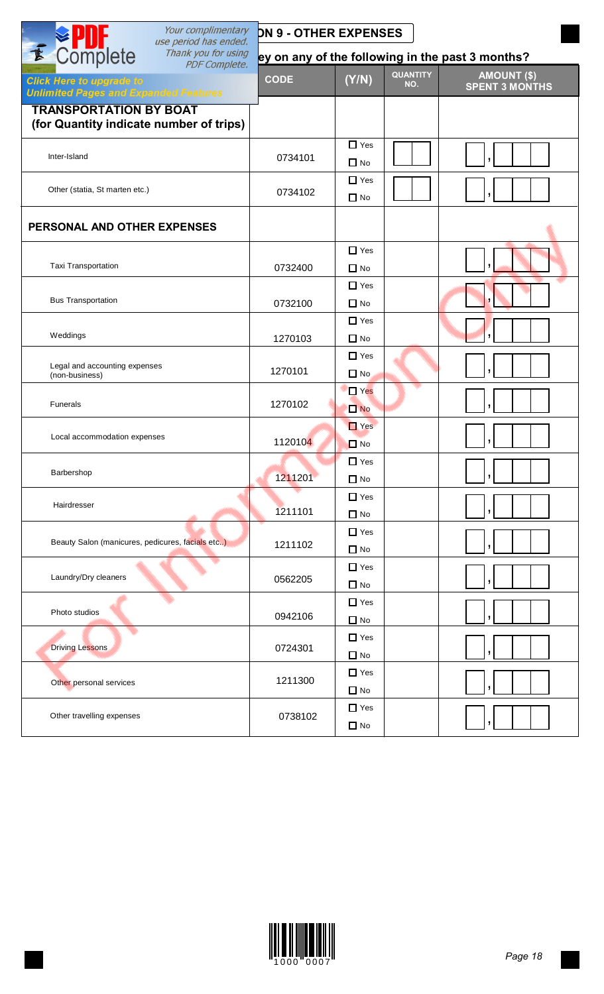| Your complimentary<br>use period has ended.                                                             | <b>DN 9 - OTHER EXPENSES</b> |                                 |                                                  |  |
|---------------------------------------------------------------------------------------------------------|------------------------------|---------------------------------|--------------------------------------------------|--|
| E Complete<br>Thank you for using                                                                       |                              |                                 | ey on any of the following in the past 3 months? |  |
| <b>PDF Complete.</b><br><b>Click Here to upgrade to</b><br><b>Unlimited Pages and Expanded Features</b> | <b>CODE</b>                  | <b>QUANTITY</b><br>(Y/N)<br>NO. | <b>AMOUNT (\$)</b><br><b>SPENT 3 MONTHS</b>      |  |
| <b>TRANSPORTATION BY BOAT</b><br>(for Quantity indicate number of trips)                                |                              |                                 |                                                  |  |
| Inter-Island                                                                                            | 0734101                      | $\Box$ Yes<br>$\Box$ No         |                                                  |  |
| Other (statia, St marten etc.)                                                                          | 0734102                      | $\Box$ Yes<br>$\Box$ No         |                                                  |  |
| PERSONAL AND OTHER EXPENSES                                                                             |                              |                                 |                                                  |  |
| Taxi Transportation                                                                                     | 0732400                      | $\Box$ Yes<br>$\Box$ No         |                                                  |  |
| <b>Bus Transportation</b>                                                                               | 0732100                      | $\Box$ Yes<br>$\Box$ No         |                                                  |  |
| Weddings                                                                                                | 1270103                      | $\Box$ Yes<br>$\Box$ No         |                                                  |  |
| Legal and accounting expenses<br>(non-business)                                                         | 1270101                      | $\Box$ Yes<br>$\Box$ No         |                                                  |  |
| Funerals                                                                                                | 1270102                      | $\Box$ Yes<br>$\Box$ No         |                                                  |  |
| Local accommodation expenses                                                                            | 1120104                      | $\Box$ Yes<br>$\Box$ No         |                                                  |  |
| Barbershop                                                                                              | 1211201                      | $\Box$ Yes<br>$\Box$ No         | $\mathbf{r}$                                     |  |
| Hairdresser                                                                                             | 1211101                      | $\Box$ Yes<br>$\Box$ No         |                                                  |  |
| Beauty Salon (manicures, pedicures, facials etc)                                                        | 1211102                      | $\Box$ Yes<br>$\Box$ No         |                                                  |  |
| Laundry/Dry cleaners                                                                                    | 0562205                      | $\Box$ Yes<br>$\Box$ No         |                                                  |  |
| Photo studios                                                                                           | 0942106                      | $\Box$ Yes<br>$\Box$ No         |                                                  |  |
| <b>Driving Lessons</b>                                                                                  | 0724301                      | $\Box$ Yes<br>$\Box$ No         |                                                  |  |
| Other personal services                                                                                 | 1211300                      | $\Box$ Yes<br>$\Box$ No         |                                                  |  |
| Other travelling expenses                                                                               | 0738102                      | $\Box$ Yes<br>$\Box$ No         |                                                  |  |

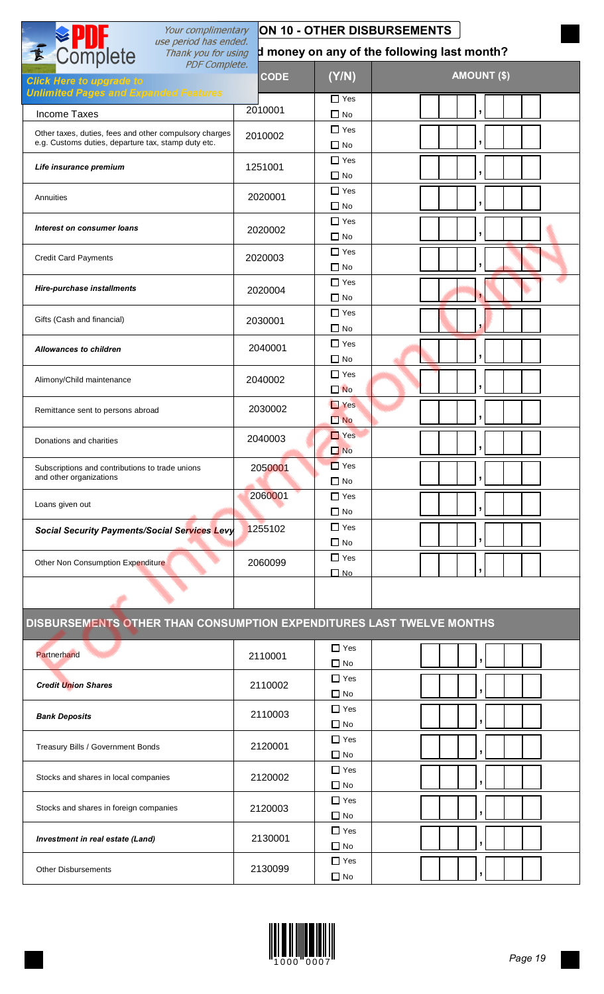| Your complimentary                                                                                      |             |                               |                                             |                          |
|---------------------------------------------------------------------------------------------------------|-------------|-------------------------------|---------------------------------------------|--------------------------|
| E Complete<br>use period has ended.<br>Thank you for using                                              |             |                               | d money on any of the following last month? |                          |
| <b>PDF</b> Complete.<br><b>Click Here to upgrade to</b><br><b>Unlimited Pages and Expanded Features</b> | <b>CODE</b> | (Y/N)                         |                                             | <b>AMOUNT (\$)</b>       |
| <b>Income Taxes</b>                                                                                     | 2010001     | $\Box$ Yes<br>$\Box$ No       |                                             |                          |
| Other taxes, duties, fees and other compulsory charges                                                  | 2010002     | $\Box$ Yes                    |                                             |                          |
| e.g. Customs duties, departure tax, stamp duty etc.                                                     |             | $\square$ No                  |                                             |                          |
| Life insurance premium                                                                                  | 1251001     | $\Box$ Yes<br>$\Box$ No       |                                             |                          |
| Annuities                                                                                               | 2020001     | $\Box$ Yes<br>$\Box$ No       |                                             | $\overline{ }$           |
| Interest on consumer loans                                                                              | 2020002     | $\Box$ Yes<br>$\square$ No    |                                             | $\overline{\phantom{a}}$ |
| <b>Credit Card Payments</b>                                                                             | 2020003     | $\Box$ Yes<br>$\Box$ No       |                                             |                          |
| Hire-purchase installments                                                                              | 2020004     | $\Box$ Yes<br>$\Box$ No       |                                             |                          |
| Gifts (Cash and financial)                                                                              | 2030001     | $\Box$ Yes<br>$\Box$ No       |                                             |                          |
| <b>Allowances to children</b>                                                                           | 2040001     | $\Box$ Yes<br>$\square$ No    |                                             |                          |
| Alimony/Child maintenance                                                                               | 2040002     | $\Box$ Yes<br>$\square$ No    |                                             |                          |
| Remittance sent to persons abroad                                                                       | 2030002     | $\Box$ Yes<br>$\Box$ No       |                                             | J                        |
| Donations and charities                                                                                 | 2040003     | $\Box$ Yes<br>$\Box$ No       |                                             | У.                       |
| Subscriptions and contributions to trade unions<br>and other organizations                              | 2050001     | $\Box$ Yes<br>$\Box$ No       |                                             | $\mathbf{I}$             |
| Loans given out                                                                                         | 2060001     | $\Box$ Yes<br>$\Box$ No       |                                             |                          |
| <b>Social Security Payments/Social Services Levy</b>                                                    | 1255102     | $\Box$ Yes<br>$\Box$ No       |                                             |                          |
| Other Non Consumption Expenditure                                                                       | 2060099     | $\Box$ Yes<br>$\n  0\n  No\n$ |                                             |                          |
|                                                                                                         |             |                               |                                             |                          |
| DISBURSEMENTS OTHER THAN CONSUMPTION EXPENDITURES LAST TWELVE MONTHS                                    |             |                               |                                             |                          |
| Partnerhand                                                                                             | 2110001     | $\Box$ Yes<br>$\Box$ No       |                                             |                          |
| <b>Credit Union Shares</b>                                                                              | 2110002     | $\Box$ Yes<br>$\Box$ No       |                                             |                          |
| <b>Bank Deposits</b>                                                                                    | 2110003     | $\Box$ Yes<br>$\square$ No    |                                             |                          |
| Treasury Bills / Government Bonds                                                                       | 2120001     | $\Box$ Yes<br>$\Box$ No       |                                             |                          |
| Stocks and shares in local companies                                                                    | 2120002     | $\Box$ Yes<br>$\Box$ No       |                                             |                          |
| Stocks and shares in foreign companies                                                                  | 2120003     | $\Box$ Yes<br>$\Box$ No       |                                             |                          |
| Investment in real estate (Land)                                                                        | 2130001     | $\Box$ Yes<br>$\Box$ No       |                                             | ŋ                        |
| <b>Other Disbursements</b>                                                                              | 2130099     | $\Box$ Yes<br>$\Box$ No       |                                             |                          |